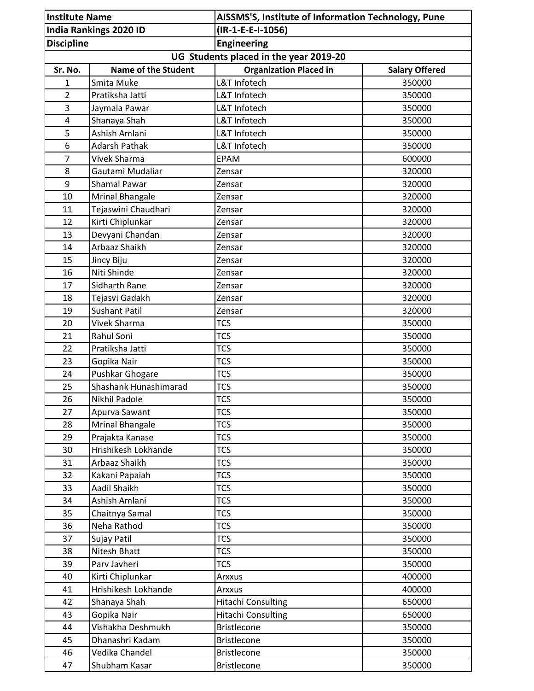| <b>Institute Name</b>         |                            | AISSMS'S, Institute of Information Technology, Pune |                       |
|-------------------------------|----------------------------|-----------------------------------------------------|-----------------------|
| <b>India Rankings 2020 ID</b> |                            | (IR-1-E-E-I-1056)                                   |                       |
| <b>Discipline</b>             |                            | <b>Engineering</b>                                  |                       |
|                               |                            | UG Students placed in the year 2019-20              |                       |
| Sr. No.                       | <b>Name of the Student</b> | <b>Organization Placed in</b>                       | <b>Salary Offered</b> |
| $\mathbf{1}$                  | Smita Muke                 | L&T Infotech                                        | 350000                |
| 2                             | Pratiksha Jatti            | L&T Infotech                                        | 350000                |
| 3                             | Jaymala Pawar              | L&T Infotech                                        | 350000                |
| $\overline{4}$                | Shanaya Shah               | L&T Infotech                                        | 350000                |
| 5                             | Ashish Amlani              | L&T Infotech                                        | 350000                |
| 6                             | <b>Adarsh Pathak</b>       | L&T Infotech                                        | 350000                |
| $\overline{7}$                | Vivek Sharma               | <b>EPAM</b>                                         | 600000                |
| 8                             | Gautami Mudaliar           | Zensar                                              | 320000                |
| 9                             | <b>Shamal Pawar</b>        | Zensar                                              | 320000                |
| 10                            | <b>Mrinal Bhangale</b>     | Zensar                                              | 320000                |
| 11                            | Tejaswini Chaudhari        | Zensar                                              | 320000                |
| 12                            | Kirti Chiplunkar           | Zensar                                              | 320000                |
| 13                            | Devyani Chandan            | Zensar                                              | 320000                |
| 14                            | Arbaaz Shaikh              | Zensar                                              | 320000                |
| 15                            | Jincy Biju                 | Zensar                                              | 320000                |
| 16                            | Niti Shinde                | Zensar                                              | 320000                |
| 17                            | Sidharth Rane              | Zensar                                              | 320000                |
| 18                            | Tejasvi Gadakh             | Zensar                                              | 320000                |
| 19                            | <b>Sushant Patil</b>       | Zensar                                              | 320000                |
| 20                            | Vivek Sharma               | <b>TCS</b>                                          | 350000                |
| 21                            | Rahul Soni                 | <b>TCS</b>                                          | 350000                |
| 22                            | Pratiksha Jatti            | <b>TCS</b>                                          | 350000                |
| 23                            | Gopika Nair                | <b>TCS</b>                                          | 350000                |
| 24                            | Pushkar Ghogare            | <b>TCS</b>                                          | 350000                |
| 25                            | Shashank Hunashimarad      | <b>TCS</b>                                          | 350000                |
| 26                            | Nikhil Padole              | <b>TCS</b>                                          | 350000                |
| 27                            | Apurva Sawant              | <b>TCS</b>                                          | 350000                |
| 28                            | <b>Mrinal Bhangale</b>     | <b>TCS</b>                                          | 350000                |
| 29                            | Prajakta Kanase            | <b>TCS</b>                                          | 350000                |
| 30                            | Hrishikesh Lokhande        | <b>TCS</b>                                          | 350000                |
| 31                            | Arbaaz Shaikh              | <b>TCS</b>                                          | 350000                |
| 32                            | Kakani Papaiah             | <b>TCS</b>                                          | 350000                |
| 33                            | Aadil Shaikh               | <b>TCS</b>                                          | 350000                |
| 34                            | Ashish Amlani              | <b>TCS</b>                                          | 350000                |
| 35                            | Chaitnya Samal             | <b>TCS</b>                                          | 350000                |
| 36                            | Neha Rathod                | <b>TCS</b>                                          | 350000                |
| 37                            | Sujay Patil                | <b>TCS</b>                                          | 350000                |
| 38                            | Nitesh Bhatt               | <b>TCS</b>                                          | 350000                |
| 39                            | Parv Javheri               | <b>TCS</b>                                          | 350000                |
| 40                            | Kirti Chiplunkar           | Arxxus                                              | 400000                |
| 41                            | Hrishikesh Lokhande        | Arxxus                                              | 400000                |
| 42                            | Shanaya Shah               | <b>Hitachi Consulting</b>                           | 650000                |
| 43                            | Gopika Nair                | <b>Hitachi Consulting</b>                           | 650000                |
| 44                            | Vishakha Deshmukh          | <b>Bristlecone</b>                                  | 350000                |
| 45                            | Dhanashri Kadam            | <b>Bristlecone</b>                                  | 350000                |
| 46                            | Vedika Chandel             | <b>Bristlecone</b>                                  | 350000                |
| 47                            | Shubham Kasar              | <b>Bristlecone</b>                                  | 350000                |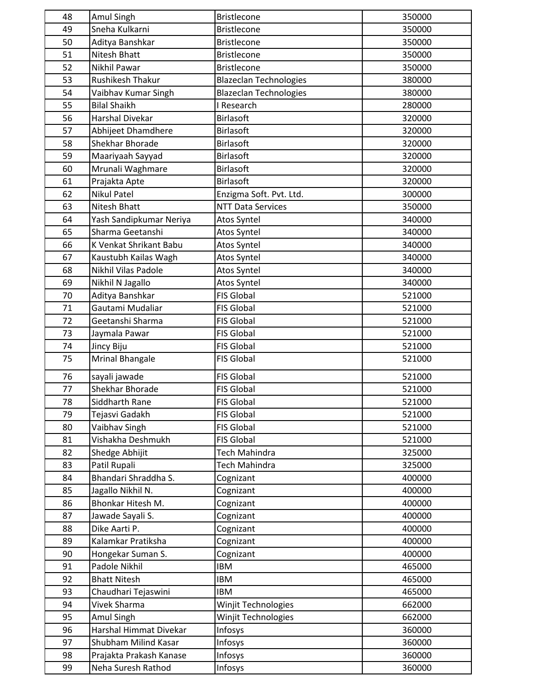| 48 | Amul Singh              | <b>Bristlecone</b>            | 350000 |
|----|-------------------------|-------------------------------|--------|
| 49 | Sneha Kulkarni          | <b>Bristlecone</b>            | 350000 |
| 50 | Aditya Banshkar         | <b>Bristlecone</b>            | 350000 |
| 51 | Nitesh Bhatt            | Bristlecone                   | 350000 |
| 52 | Nikhil Pawar            | <b>Bristlecone</b>            | 350000 |
| 53 | Rushikesh Thakur        | <b>Blazeclan Technologies</b> | 380000 |
| 54 | Vaibhav Kumar Singh     | <b>Blazeclan Technologies</b> | 380000 |
| 55 | <b>Bilal Shaikh</b>     | I Research                    | 280000 |
| 56 | <b>Harshal Divekar</b>  | <b>Birlasoft</b>              | 320000 |
| 57 | Abhijeet Dhamdhere      | <b>Birlasoft</b>              | 320000 |
| 58 | Shekhar Bhorade         | <b>Birlasoft</b>              | 320000 |
| 59 | Maariyaah Sayyad        | <b>Birlasoft</b>              | 320000 |
| 60 | Mrunali Waghmare        | <b>Birlasoft</b>              | 320000 |
| 61 | Prajakta Apte           | <b>Birlasoft</b>              | 320000 |
| 62 | <b>Nikul Patel</b>      | Enzigma Soft. Pvt. Ltd.       | 300000 |
| 63 | <b>Nitesh Bhatt</b>     | <b>NTT Data Services</b>      | 350000 |
| 64 |                         |                               | 340000 |
|    | Yash Sandipkumar Neriya | Atos Syntel                   |        |
| 65 | Sharma Geetanshi        | Atos Syntel                   | 340000 |
| 66 | K Venkat Shrikant Babu  | Atos Syntel                   | 340000 |
| 67 | Kaustubh Kailas Wagh    | Atos Syntel                   | 340000 |
| 68 | Nikhil Vilas Padole     | Atos Syntel                   | 340000 |
| 69 | Nikhil N Jagallo        | Atos Syntel                   | 340000 |
| 70 | Aditya Banshkar         | <b>FIS Global</b>             | 521000 |
| 71 | Gautami Mudaliar        | <b>FIS Global</b>             | 521000 |
| 72 | Geetanshi Sharma        | <b>FIS Global</b>             | 521000 |
| 73 | Jaymala Pawar           | <b>FIS Global</b>             | 521000 |
| 74 | Jincy Biju              | <b>FIS Global</b>             | 521000 |
| 75 | Mrinal Bhangale         | <b>FIS Global</b>             | 521000 |
| 76 | sayali jawade           | <b>FIS Global</b>             | 521000 |
| 77 | Shekhar Bhorade         | <b>FIS Global</b>             | 521000 |
| 78 | Siddharth Rane          | <b>FIS Global</b>             | 521000 |
| 79 | Tejasvi Gadakh          | <b>FIS Global</b>             | 521000 |
| 80 | Vaibhav Singh           | <b>FIS Global</b>             | 521000 |
| 81 | Vishakha Deshmukh       | <b>FIS Global</b>             | 521000 |
| 82 | Shedge Abhijit          | Tech Mahindra                 | 325000 |
| 83 | Patil Rupali            | <b>Tech Mahindra</b>          | 325000 |
| 84 | Bhandari Shraddha S.    | Cognizant                     | 400000 |
| 85 | Jagallo Nikhil N.       | Cognizant                     | 400000 |
| 86 | Bhonkar Hitesh M.       | Cognizant                     | 400000 |
| 87 | Jawade Sayali S.        | Cognizant                     | 400000 |
| 88 | Dike Aarti P.           | Cognizant                     | 400000 |
| 89 | Kalamkar Pratiksha      | Cognizant                     | 400000 |
| 90 | Hongekar Suman S.       | Cognizant                     | 400000 |
| 91 | Padole Nikhil           | <b>IBM</b>                    | 465000 |
| 92 | <b>Bhatt Nitesh</b>     | <b>IBM</b>                    | 465000 |
| 93 | Chaudhari Tejaswini     | <b>IBM</b>                    | 465000 |
| 94 | Vivek Sharma            |                               | 662000 |
| 95 |                         | Winjit Technologies           |        |
| 96 | Amul Singh              | Winjit Technologies           | 662000 |
|    | Harshal Himmat Divekar  | Infosys                       | 360000 |
| 97 | Shubham Milind Kasar    | Infosys                       | 360000 |
| 98 | Prajakta Prakash Kanase | Infosys                       | 360000 |
| 99 | Neha Suresh Rathod      | Infosys                       | 360000 |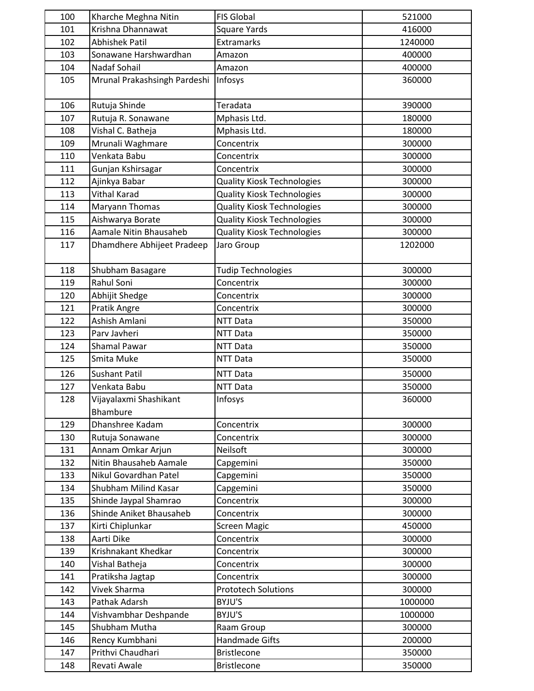| 100 | Kharche Meghna Nitin               | <b>FIS Global</b>                 | 521000  |
|-----|------------------------------------|-----------------------------------|---------|
| 101 | Krishna Dhannawat                  | <b>Square Yards</b>               | 416000  |
| 102 | <b>Abhishek Patil</b>              | Extramarks                        | 1240000 |
| 103 | Sonawane Harshwardhan              | Amazon                            | 400000  |
| 104 | Nadaf Sohail                       | Amazon                            | 400000  |
| 105 | Mrunal Prakashsingh Pardeshi       | Infosys                           | 360000  |
| 106 | Rutuja Shinde                      | Teradata                          | 390000  |
| 107 | Rutuja R. Sonawane                 | Mphasis Ltd.                      | 180000  |
| 108 | Vishal C. Batheja                  | Mphasis Ltd.                      | 180000  |
| 109 | Mrunali Waghmare                   | Concentrix                        | 300000  |
| 110 | Venkata Babu                       | Concentrix                        | 300000  |
| 111 | Gunjan Kshirsagar                  | Concentrix                        | 300000  |
| 112 | Ajinkya Babar                      | <b>Quality Kiosk Technologies</b> | 300000  |
| 113 | Vithal Karad                       | <b>Quality Kiosk Technologies</b> | 300000  |
| 114 | Maryann Thomas                     | <b>Quality Kiosk Technologies</b> | 300000  |
| 115 | Aishwarya Borate                   | <b>Quality Kiosk Technologies</b> | 300000  |
| 116 | Aamale Nitin Bhausaheb             | <b>Quality Kiosk Technologies</b> | 300000  |
| 117 | Dhamdhere Abhijeet Pradeep         | Jaro Group                        | 1202000 |
| 118 | Shubham Basagare                   | <b>Tudip Technologies</b>         | 300000  |
| 119 | Rahul Soni                         | Concentrix                        | 300000  |
| 120 | Abhijit Shedge                     | Concentrix                        | 300000  |
| 121 | Pratik Angre                       | Concentrix                        | 300000  |
| 122 | Ashish Amlani                      | NTT Data                          | 350000  |
| 123 | Parv Javheri                       | NTT Data                          | 350000  |
| 124 | <b>Shamal Pawar</b>                | NTT Data                          | 350000  |
| 125 | Smita Muke                         | <b>NTT Data</b>                   | 350000  |
| 126 | <b>Sushant Patil</b>               | NTT Data                          | 350000  |
| 127 | Venkata Babu                       | <b>NTT Data</b>                   | 350000  |
| 128 | Vijayalaxmi Shashikant<br>Bhambure | Infosys                           | 360000  |
| 129 | Dhanshree Kadam                    | Concentrix                        | 300000  |
| 130 | Rutuja Sonawane                    | Concentrix                        | 300000  |
| 131 | Annam Omkar Arjun                  | Neilsoft                          | 300000  |
| 132 | Nitin Bhausaheb Aamale             | Capgemini                         | 350000  |
| 133 | Nikul Govardhan Patel              | Capgemini                         | 350000  |
| 134 | Shubham Milind Kasar               | Capgemini                         | 350000  |
| 135 | Shinde Jaypal Shamrao              | Concentrix                        | 300000  |
| 136 | Shinde Aniket Bhausaheb            | Concentrix                        | 300000  |
| 137 | Kirti Chiplunkar                   | <b>Screen Magic</b>               | 450000  |
| 138 | Aarti Dike                         | Concentrix                        | 300000  |
| 139 | Krishnakant Khedkar                | Concentrix                        | 300000  |
| 140 | Vishal Batheja                     | Concentrix                        | 300000  |
| 141 | Pratiksha Jagtap                   | Concentrix                        | 300000  |
| 142 | Vivek Sharma                       | <b>Prototech Solutions</b>        | 300000  |
| 143 | Pathak Adarsh                      | BYJU'S                            | 1000000 |
| 144 | Vishvambhar Deshpande              | BYJU'S                            | 1000000 |
| 145 | Shubham Mutha                      | Raam Group                        | 300000  |
| 146 | Rency Kumbhani                     | Handmade Gifts                    | 200000  |
| 147 | Prithvi Chaudhari                  | <b>Bristlecone</b>                | 350000  |
| 148 | Revati Awale                       | <b>Bristlecone</b>                | 350000  |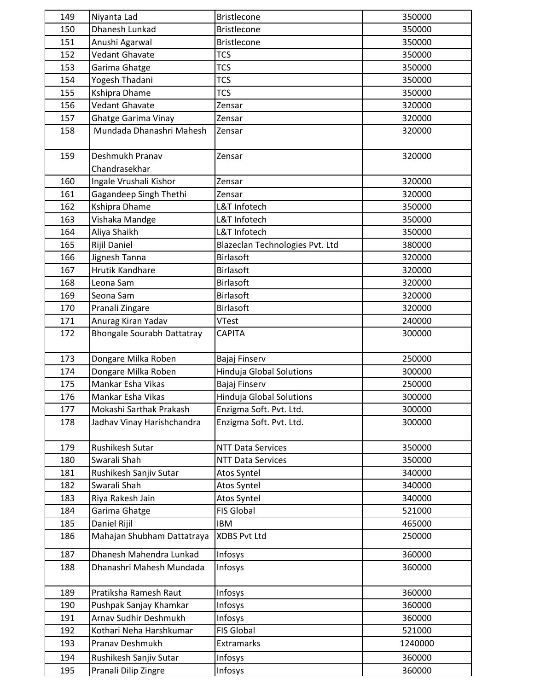| 149 | Niyanta Lad                       | <b>Bristlecone</b>              | 350000  |
|-----|-----------------------------------|---------------------------------|---------|
| 150 | Dhanesh Lunkad                    | <b>Bristlecone</b>              | 350000  |
| 151 | Anushi Agarwal                    | <b>Bristlecone</b>              | 350000  |
| 152 | Vedant Ghavate                    | <b>TCS</b>                      | 350000  |
| 153 | Garima Ghatge                     | <b>TCS</b>                      | 350000  |
| 154 | Yogesh Thadani                    | <b>TCS</b>                      | 350000  |
| 155 | Kshipra Dhame                     | <b>TCS</b>                      | 350000  |
| 156 | <b>Vedant Ghavate</b>             | Zensar                          | 320000  |
| 157 | <b>Ghatge Garima Vinay</b>        | Zensar                          | 320000  |
| 158 | Mundada Dhanashri Mahesh          | Zensar                          | 320000  |
| 159 | Deshmukh Pranav                   | Zensar                          | 320000  |
|     | Chandrasekhar                     |                                 |         |
| 160 | Ingale Vrushali Kishor            | Zensar                          | 320000  |
| 161 | Gagandeep Singh Thethi            | Zensar                          | 320000  |
| 162 | Kshipra Dhame                     | L&T Infotech                    | 350000  |
| 163 | Vishaka Mandge                    | L&T Infotech                    | 350000  |
| 164 | Aliya Shaikh                      | L&T Infotech                    | 350000  |
| 165 | Rijil Daniel                      | Blazeclan Technologies Pvt. Ltd | 380000  |
| 166 | Jignesh Tanna                     | <b>Birlasoft</b>                | 320000  |
| 167 | <b>Hrutik Kandhare</b>            | <b>Birlasoft</b>                | 320000  |
| 168 | Leona Sam                         | <b>Birlasoft</b>                | 320000  |
| 169 | Seona Sam                         | <b>Birlasoft</b>                | 320000  |
| 170 | Pranali Zingare                   | <b>Birlasoft</b>                | 320000  |
| 171 | Anurag Kiran Yadav                | <b>VTest</b>                    | 240000  |
| 172 | <b>Bhongale Sourabh Dattatray</b> | <b>CAPITA</b>                   | 300000  |
| 173 | Dongare Milka Roben               | Bajaj Finserv                   | 250000  |
| 174 | Dongare Milka Roben               | Hinduja Global Solutions        | 300000  |
| 175 | Mankar Esha Vikas                 | Bajaj Finserv                   | 250000  |
| 176 | Mankar Esha Vikas                 | Hinduja Global Solutions        | 300000  |
| 177 | Mokashi Sarthak Prakash           | Enzigma Soft. Pvt. Ltd.         | 300000  |
| 178 | Jadhav Vinay Harishchandra        | Enzigma Soft. Pvt. Ltd.         | 300000  |
| 179 | Rushikesh Sutar                   | <b>NTT Data Services</b>        | 350000  |
| 180 | Swarali Shah                      | <b>NTT Data Services</b>        | 350000  |
| 181 | Rushikesh Sanjiv Sutar            | Atos Syntel                     | 340000  |
| 182 | Swarali Shah                      | Atos Syntel                     | 340000  |
| 183 | Riya Rakesh Jain                  | Atos Syntel                     | 340000  |
| 184 | Garima Ghatge                     | <b>FIS Global</b>               | 521000  |
| 185 | Daniel Rijil                      | <b>IBM</b>                      | 465000  |
| 186 | Mahajan Shubham Dattatraya        | <b>XDBS Pvt Ltd</b>             | 250000  |
| 187 | Dhanesh Mahendra Lunkad           | Infosys                         | 360000  |
| 188 | Dhanashri Mahesh Mundada          | Infosys                         | 360000  |
| 189 | Pratiksha Ramesh Raut             | Infosys                         | 360000  |
| 190 | Pushpak Sanjay Khamkar            | Infosys                         | 360000  |
| 191 | Arnav Sudhir Deshmukh             | Infosys                         | 360000  |
| 192 | Kothari Neha Harshkumar           | <b>FIS Global</b>               | 521000  |
| 193 | Pranav Deshmukh                   | Extramarks                      | 1240000 |
| 194 | Rushikesh Sanjiv Sutar            | Infosys                         | 360000  |
| 195 | Pranali Dilip Zingre              | Infosys                         | 360000  |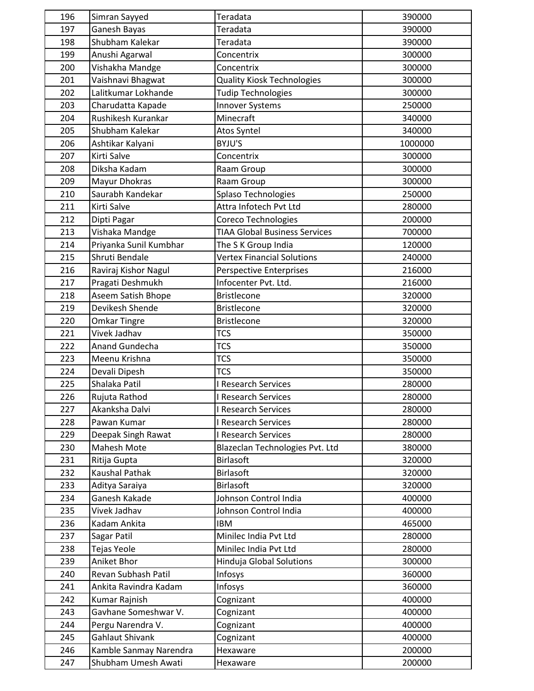| 196 | Simran Sayyed          | Teradata                             | 390000  |
|-----|------------------------|--------------------------------------|---------|
| 197 | Ganesh Bayas           | Teradata                             | 390000  |
| 198 | Shubham Kalekar        | Teradata                             | 390000  |
| 199 | Anushi Agarwal         | Concentrix                           | 300000  |
| 200 | Vishakha Mandge        | Concentrix                           | 300000  |
| 201 | Vaishnavi Bhagwat      | <b>Quality Kiosk Technologies</b>    | 300000  |
| 202 | Lalitkumar Lokhande    | <b>Tudip Technologies</b>            | 300000  |
| 203 | Charudatta Kapade      | <b>Innover Systems</b>               | 250000  |
| 204 | Rushikesh Kurankar     | Minecraft                            | 340000  |
| 205 | Shubham Kalekar        | Atos Syntel                          | 340000  |
| 206 | Ashtikar Kalyani       | BYJU'S                               | 1000000 |
| 207 | Kirti Salve            | Concentrix                           | 300000  |
| 208 | Diksha Kadam           | Raam Group                           | 300000  |
| 209 | Mayur Dhokras          | Raam Group                           | 300000  |
| 210 | Saurabh Kandekar       | Splaso Technologies                  | 250000  |
| 211 | Kirti Salve            | Attra Infotech Pvt Ltd               | 280000  |
| 212 | Dipti Pagar            | Coreco Technologies                  | 200000  |
| 213 | Vishaka Mandge         | <b>TIAA Global Business Services</b> | 700000  |
| 214 | Priyanka Sunil Kumbhar | The S K Group India                  | 120000  |
| 215 | Shruti Bendale         | <b>Vertex Financial Solutions</b>    | 240000  |
| 216 | Raviraj Kishor Nagul   | <b>Perspective Enterprises</b>       | 216000  |
| 217 | Pragati Deshmukh       | Infocenter Pvt. Ltd.                 | 216000  |
| 218 | Aseem Satish Bhope     | <b>Bristlecone</b>                   | 320000  |
| 219 | Devikesh Shende        | <b>Bristlecone</b>                   | 320000  |
| 220 | <b>Omkar Tingre</b>    | <b>Bristlecone</b>                   | 320000  |
| 221 | Vivek Jadhav           | <b>TCS</b>                           | 350000  |
| 222 | Anand Gundecha         | <b>TCS</b>                           | 350000  |
| 223 | Meenu Krishna          | <b>TCS</b>                           | 350000  |
| 224 | Devali Dipesh          | <b>TCS</b>                           | 350000  |
| 225 | Shalaka Patil          | I Research Services                  | 280000  |
| 226 | Rujuta Rathod          | I Research Services                  | 280000  |
| 227 | Akanksha Dalvi         | I Research Services                  | 280000  |
| 228 | Pawan Kumar            | I Research Services                  | 280000  |
| 229 | Deepak Singh Rawat     | I Research Services                  | 280000  |
| 230 | Mahesh Mote            | Blazeclan Technologies Pvt. Ltd      | 380000  |
| 231 | Ritija Gupta           | <b>Birlasoft</b>                     | 320000  |
| 232 | Kaushal Pathak         | <b>Birlasoft</b>                     | 320000  |
| 233 | Aditya Saraiya         | <b>Birlasoft</b>                     | 320000  |
| 234 | Ganesh Kakade          | Johnson Control India                | 400000  |
| 235 | Vivek Jadhav           | Johnson Control India                | 400000  |
| 236 | Kadam Ankita           | <b>IBM</b>                           | 465000  |
| 237 | Sagar Patil            | Minilec India Pvt Ltd                | 280000  |
| 238 | Tejas Yeole            | Minilec India Pvt Ltd                | 280000  |
| 239 | Aniket Bhor            | Hinduja Global Solutions             | 300000  |
| 240 | Revan Subhash Patil    | Infosys                              | 360000  |
| 241 | Ankita Ravindra Kadam  | Infosys                              | 360000  |
| 242 | Kumar Rajnish          | Cognizant                            | 400000  |
| 243 | Gavhane Someshwar V.   | Cognizant                            | 400000  |
| 244 | Pergu Narendra V.      | Cognizant                            | 400000  |
| 245 | Gahlaut Shivank        | Cognizant                            | 400000  |
| 246 | Kamble Sanmay Narendra | Hexaware                             | 200000  |
| 247 | Shubham Umesh Awati    | Hexaware                             | 200000  |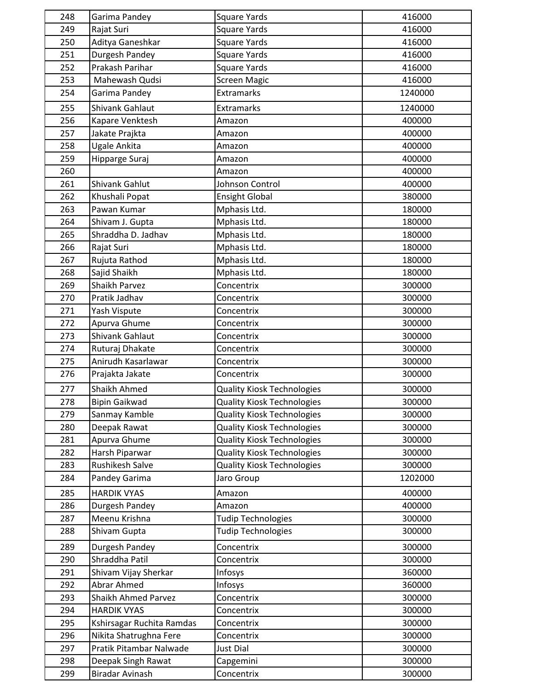| 248 | Garima Pandey                    | <b>Square Yards</b>               | 416000  |
|-----|----------------------------------|-----------------------------------|---------|
| 249 | Rajat Suri                       | <b>Square Yards</b>               | 416000  |
| 250 | Aditya Ganeshkar                 | <b>Square Yards</b>               | 416000  |
| 251 | Durgesh Pandey                   | <b>Square Yards</b>               | 416000  |
| 252 | Prakash Parihar                  | <b>Square Yards</b>               | 416000  |
| 253 | Mahewash Qudsi                   | <b>Screen Magic</b>               | 416000  |
| 254 | Garima Pandey                    | Extramarks                        | 1240000 |
| 255 | Shivank Gahlaut                  | Extramarks                        | 1240000 |
| 256 | Kapare Venktesh                  | Amazon                            | 400000  |
| 257 | Jakate Prajkta                   | Amazon                            | 400000  |
| 258 | Ugale Ankita                     | Amazon                            | 400000  |
| 259 | Hipparge Suraj                   | Amazon                            | 400000  |
| 260 |                                  | Amazon                            | 400000  |
| 261 | Shivank Gahlut                   | Johnson Control                   | 400000  |
| 262 | Khushali Popat                   | <b>Ensight Global</b>             | 380000  |
| 263 | Pawan Kumar                      | Mphasis Ltd.                      | 180000  |
| 264 | Shivam J. Gupta                  | Mphasis Ltd.                      | 180000  |
| 265 | Shraddha D. Jadhav               | Mphasis Ltd.                      | 180000  |
| 266 | Rajat Suri                       | Mphasis Ltd.                      | 180000  |
| 267 | Rujuta Rathod                    | Mphasis Ltd.                      | 180000  |
| 268 | Sajid Shaikh                     | Mphasis Ltd.                      | 180000  |
| 269 | Shaikh Parvez                    | Concentrix                        | 300000  |
| 270 | Pratik Jadhav                    | Concentrix                        | 300000  |
| 271 | Yash Vispute                     | Concentrix                        | 300000  |
| 272 | Apurva Ghume                     | Concentrix                        | 300000  |
| 273 | Shivank Gahlaut                  | Concentrix                        | 300000  |
| 274 | Ruturaj Dhakate                  | Concentrix                        | 300000  |
| 275 | Anirudh Kasarlawar               | Concentrix                        | 300000  |
| 276 | Prajakta Jakate                  | Concentrix                        | 300000  |
| 277 | Shaikh Ahmed                     | <b>Quality Kiosk Technologies</b> | 300000  |
| 278 | <b>Bipin Gaikwad</b>             | <b>Quality Kiosk Technologies</b> | 300000  |
| 279 | Sanmay Kamble                    | <b>Quality Kiosk Technologies</b> | 300000  |
| 280 | Deepak Rawat                     | <b>Quality Kiosk Technologies</b> | 300000  |
| 281 | Apurva Ghume                     | <b>Quality Kiosk Technologies</b> | 300000  |
| 282 | Harsh Piparwar                   | <b>Quality Kiosk Technologies</b> | 300000  |
| 283 | <b>Rushikesh Salve</b>           | <b>Quality Kiosk Technologies</b> | 300000  |
| 284 | Pandey Garima                    | Jaro Group                        | 1202000 |
| 285 | <b>HARDIK VYAS</b>               | Amazon                            | 400000  |
| 286 | Durgesh Pandey                   | Amazon                            | 400000  |
| 287 | Meenu Krishna                    | <b>Tudip Technologies</b>         | 300000  |
| 288 | Shivam Gupta                     | <b>Tudip Technologies</b>         | 300000  |
| 289 |                                  | Concentrix                        | 300000  |
| 290 | Durgesh Pandey<br>Shraddha Patil | Concentrix                        | 300000  |
| 291 | Shivam Vijay Sherkar             | Infosys                           | 360000  |
| 292 | Abrar Ahmed                      | Infosys                           | 360000  |
| 293 | Shaikh Ahmed Parvez              | Concentrix                        | 300000  |
| 294 | <b>HARDIK VYAS</b>               | Concentrix                        | 300000  |
| 295 | Kshirsagar Ruchita Ramdas        | Concentrix                        | 300000  |
| 296 | Nikita Shatrughna Fere           | Concentrix                        | 300000  |
| 297 | Pratik Pitambar Nalwade          | <b>Just Dial</b>                  | 300000  |
| 298 | Deepak Singh Rawat               | Capgemini                         | 300000  |
| 299 | Biradar Avinash                  | Concentrix                        | 300000  |
|     |                                  |                                   |         |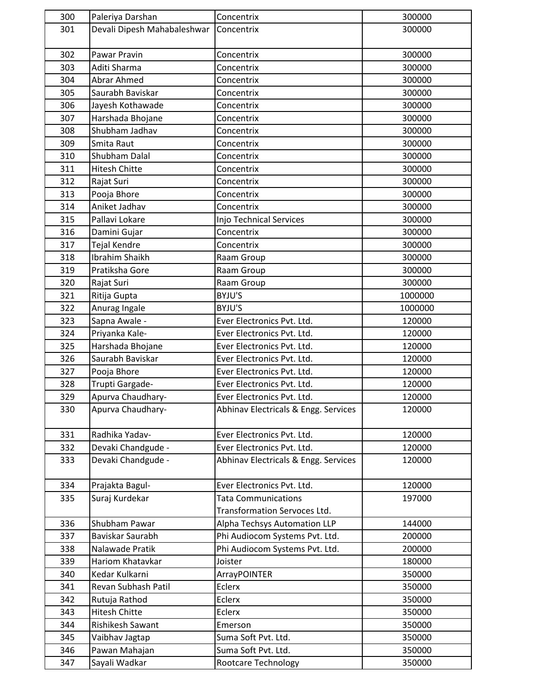| 300 | Paleriya Darshan                     | Concentrix                           | 300000  |
|-----|--------------------------------------|--------------------------------------|---------|
| 301 | Devali Dipesh Mahabaleshwar          | Concentrix                           | 300000  |
| 302 | Pawar Pravin                         | Concentrix                           | 300000  |
| 303 | Aditi Sharma                         | Concentrix                           | 300000  |
| 304 | Abrar Ahmed                          | Concentrix                           | 300000  |
| 305 | Saurabh Baviskar                     | Concentrix                           | 300000  |
| 306 | Jayesh Kothawade                     | Concentrix                           | 300000  |
| 307 | Harshada Bhojane                     | Concentrix                           | 300000  |
| 308 | Shubham Jadhav                       | Concentrix                           | 300000  |
| 309 | Smita Raut                           | Concentrix                           | 300000  |
| 310 | Shubham Dalal                        | Concentrix                           | 300000  |
| 311 | <b>Hitesh Chitte</b>                 | Concentrix                           | 300000  |
| 312 | Rajat Suri                           | Concentrix                           | 300000  |
| 313 | Pooja Bhore                          | Concentrix                           | 300000  |
| 314 | Aniket Jadhav                        | Concentrix                           | 300000  |
| 315 | Pallavi Lokare                       | Injo Technical Services              | 300000  |
| 316 | Damini Gujar                         | Concentrix                           | 300000  |
| 317 | <b>Tejal Kendre</b>                  | Concentrix                           | 300000  |
| 318 | Ibrahim Shaikh                       | Raam Group                           | 300000  |
| 319 | Pratiksha Gore                       | Raam Group                           | 300000  |
| 320 | Rajat Suri                           | Raam Group                           | 300000  |
| 321 |                                      | BYJU'S                               | 1000000 |
| 322 | Ritija Gupta<br>Anurag Ingale        | BYJU'S                               | 1000000 |
| 323 |                                      | Ever Electronics Pvt. Ltd.           | 120000  |
| 324 | Sapna Awale -                        | Ever Electronics Pvt. Ltd.           | 120000  |
|     | Priyanka Kale-                       |                                      |         |
| 325 | Harshada Bhojane<br>Saurabh Baviskar | Ever Electronics Pvt. Ltd.           | 120000  |
| 326 |                                      | Ever Electronics Pvt. Ltd.           | 120000  |
| 327 | Pooja Bhore                          | Ever Electronics Pvt. Ltd.           | 120000  |
| 328 | Trupti Gargade-                      | Ever Electronics Pvt. Ltd.           | 120000  |
| 329 | Apurva Chaudhary-                    | Ever Electronics Pvt. Ltd.           | 120000  |
| 330 | Apurva Chaudhary-                    | Abhinav Electricals & Engg. Services | 120000  |
| 331 | Radhika Yadav-                       | Ever Electronics Pvt. Ltd.           | 120000  |
| 332 | Devaki Chandgude -                   | Ever Electronics Pvt. Ltd.           | 120000  |
| 333 | Devaki Chandgude -                   | Abhinav Electricals & Engg. Services | 120000  |
| 334 | Prajakta Bagul-                      | Ever Electronics Pvt. Ltd.           | 120000  |
| 335 | Suraj Kurdekar                       | <b>Tata Communications</b>           | 197000  |
|     |                                      | Transformation Servoces Ltd.         |         |
| 336 | Shubham Pawar                        | Alpha Techsys Automation LLP         | 144000  |
| 337 | Baviskar Saurabh                     | Phi Audiocom Systems Pvt. Ltd.       | 200000  |
| 338 | Nalawade Pratik                      | Phi Audiocom Systems Pvt. Ltd.       | 200000  |
| 339 | Hariom Khatavkar                     | Joister                              | 180000  |
| 340 | Kedar Kulkarni                       | ArrayPOINTER                         | 350000  |
| 341 | Revan Subhash Patil                  | Eclerx                               | 350000  |
| 342 | Rutuja Rathod                        | Eclerx                               | 350000  |
| 343 | Hitesh Chitte                        | Eclerx                               | 350000  |
| 344 | Rishikesh Sawant                     | Emerson                              | 350000  |
| 345 | Vaibhav Jagtap                       | Suma Soft Pvt. Ltd.                  | 350000  |
| 346 | Pawan Mahajan                        | Suma Soft Pvt. Ltd.                  | 350000  |
| 347 | Sayali Wadkar                        | Rootcare Technology                  | 350000  |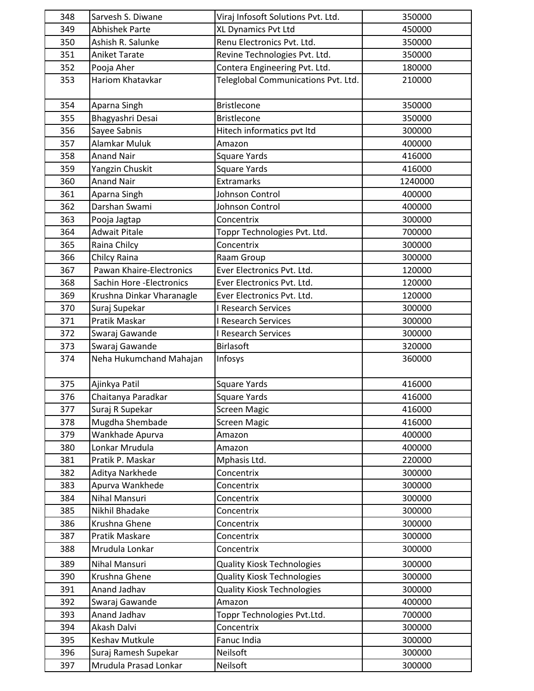| 348 | Sarvesh S. Diwane         | Viraj Infosoft Solutions Pvt. Ltd.  | 350000  |
|-----|---------------------------|-------------------------------------|---------|
| 349 | <b>Abhishek Parte</b>     | XL Dynamics Pvt Ltd                 | 450000  |
| 350 | Ashish R. Salunke         | Renu Electronics Pvt. Ltd.          | 350000  |
| 351 | <b>Aniket Tarate</b>      | Revine Technologies Pvt. Ltd.       | 350000  |
| 352 | Pooja Aher                | Contera Engineering Pvt. Ltd.       | 180000  |
| 353 | Hariom Khatavkar          | Teleglobal Communications Pvt. Ltd. | 210000  |
| 354 | Aparna Singh              | <b>Bristlecone</b>                  | 350000  |
| 355 | Bhagyashri Desai          | <b>Bristlecone</b>                  | 350000  |
| 356 | Sayee Sabnis              | Hitech informatics pvt ltd          | 300000  |
| 357 | Alamkar Muluk             | Amazon                              | 400000  |
| 358 | <b>Anand Nair</b>         | <b>Square Yards</b>                 | 416000  |
| 359 | Yangzin Chuskit           | Square Yards                        | 416000  |
| 360 | <b>Anand Nair</b>         | Extramarks                          | 1240000 |
| 361 | Aparna Singh              | Johnson Control                     | 400000  |
| 362 | Darshan Swami             | Johnson Control                     | 400000  |
| 363 | Pooja Jagtap              | Concentrix                          | 300000  |
| 364 | <b>Adwait Pitale</b>      | Toppr Technologies Pvt. Ltd.        | 700000  |
| 365 | Raina Chilcy              | Concentrix                          | 300000  |
| 366 | Chilcy Raina              | Raam Group                          | 300000  |
| 367 | Pawan Khaire-Electronics  | Ever Electronics Pvt. Ltd.          | 120000  |
| 368 | Sachin Hore - Electronics | Ever Electronics Pvt. Ltd.          | 120000  |
| 369 | Krushna Dinkar Vharanagle | Ever Electronics Pvt. Ltd.          | 120000  |
| 370 | Suraj Supekar             | I Research Services                 | 300000  |
| 371 | Pratik Maskar             | I Research Services                 | 300000  |
| 372 | Swaraj Gawande            | I Research Services                 | 300000  |
| 373 | Swaraj Gawande            | Birlasoft                           | 320000  |
| 374 | Neha Hukumchand Mahajan   | Infosys                             | 360000  |
| 375 | Ajinkya Patil             | <b>Square Yards</b>                 | 416000  |
| 376 | Chaitanya Paradkar        | <b>Square Yards</b>                 | 416000  |
| 377 | Suraj R Supekar           | <b>Screen Magic</b>                 | 416000  |
| 378 | Mugdha Shembade           | <b>Screen Magic</b>                 | 416000  |
| 379 | Wankhade Apurva           | Amazon                              | 400000  |
| 380 | Lonkar Mrudula            | Amazon                              | 400000  |
| 381 | Pratik P. Maskar          | Mphasis Ltd.                        | 220000  |
| 382 | Aditya Narkhede           | Concentrix                          | 300000  |
| 383 | Apurva Wankhede           | Concentrix                          | 300000  |
| 384 | Nihal Mansuri             | Concentrix                          | 300000  |
| 385 | Nikhil Bhadake            | Concentrix                          | 300000  |
| 386 | Krushna Ghene             | Concentrix                          | 300000  |
| 387 | Pratik Maskare            | Concentrix                          | 300000  |
| 388 | Mrudula Lonkar            | Concentrix                          | 300000  |
| 389 | Nihal Mansuri             | <b>Quality Kiosk Technologies</b>   | 300000  |
| 390 | Krushna Ghene             | <b>Quality Kiosk Technologies</b>   | 300000  |
| 391 | Anand Jadhav              | <b>Quality Kiosk Technologies</b>   | 300000  |
| 392 | Swaraj Gawande            | Amazon                              | 400000  |
| 393 | Anand Jadhav              | Toppr Technologies Pvt.Ltd.         | 700000  |
| 394 | Akash Dalvi               | Concentrix                          | 300000  |
| 395 | Keshav Mutkule            | Fanuc India                         | 300000  |
| 396 | Suraj Ramesh Supekar      | Neilsoft                            | 300000  |
| 397 | Mrudula Prasad Lonkar     | Neilsoft                            | 300000  |
|     |                           |                                     |         |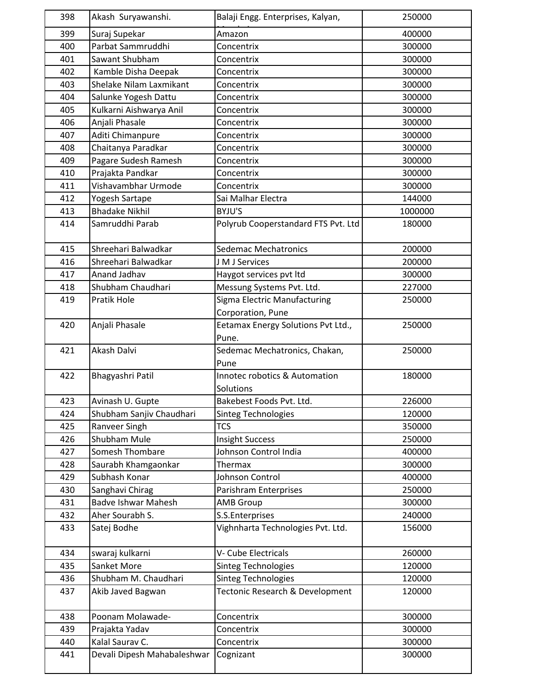| 398 | Akash Suryawanshi.          | Balaji Engg. Enterprises, Kalyan,           | 250000  |
|-----|-----------------------------|---------------------------------------------|---------|
| 399 | Suraj Supekar               | Amazon                                      | 400000  |
| 400 | Parbat Sammruddhi           | Concentrix                                  | 300000  |
| 401 | Sawant Shubham              | Concentrix                                  | 300000  |
| 402 | Kamble Disha Deepak         | Concentrix                                  | 300000  |
| 403 | Shelake Nilam Laxmikant     | Concentrix                                  | 300000  |
| 404 | Salunke Yogesh Dattu        | Concentrix                                  | 300000  |
| 405 | Kulkarni Aishwarya Anil     | Concentrix                                  | 300000  |
| 406 | Anjali Phasale              | Concentrix                                  | 300000  |
| 407 | Aditi Chimanpure            | Concentrix                                  | 300000  |
| 408 | Chaitanya Paradkar          | Concentrix                                  | 300000  |
| 409 | Pagare Sudesh Ramesh        | Concentrix                                  | 300000  |
| 410 | Prajakta Pandkar            | Concentrix                                  | 300000  |
| 411 | Vishavambhar Urmode         | Concentrix                                  | 300000  |
| 412 | Yogesh Sartape              | Sai Malhar Electra                          | 144000  |
| 413 | <b>Bhadake Nikhil</b>       | BYJU'S                                      | 1000000 |
| 414 | Samruddhi Parab             | Polyrub Cooperstandard FTS Pvt. Ltd         | 180000  |
| 415 | Shreehari Balwadkar         | <b>Sedemac Mechatronics</b>                 | 200000  |
| 416 | Shreehari Balwadkar         | J M J Services                              | 200000  |
| 417 | Anand Jadhav                | Haygot services pvt ltd                     | 300000  |
| 418 | Shubham Chaudhari           | Messung Systems Pvt. Ltd.                   | 227000  |
| 419 | Pratik Hole                 | Sigma Electric Manufacturing                | 250000  |
|     |                             | Corporation, Pune                           |         |
| 420 | Anjali Phasale              | Eetamax Energy Solutions Pvt Ltd.,<br>Pune. | 250000  |
| 421 | Akash Dalvi                 | Sedemac Mechatronics, Chakan,               | 250000  |
|     |                             | Pune                                        |         |
| 422 | Bhagyashri Patil            | Innotec robotics & Automation               | 180000  |
|     |                             | Solutions                                   |         |
| 423 | Avinash U. Gupte            | Bakebest Foods Pvt. Ltd.                    | 226000  |
| 424 | Shubham Sanjiv Chaudhari    | <b>Sinteg Technologies</b>                  | 120000  |
| 425 | Ranveer Singh               | <b>TCS</b>                                  | 350000  |
| 426 | Shubham Mule                | <b>Insight Success</b>                      | 250000  |
| 427 | Somesh Thombare             | Johnson Control India                       | 400000  |
| 428 | Saurabh Khamgaonkar         | Thermax                                     | 300000  |
| 429 | Subhash Konar               | Johnson Control                             | 400000  |
| 430 | Sanghavi Chirag             | Parishram Enterprises                       | 250000  |
| 431 | <b>Badve Ishwar Mahesh</b>  | <b>AMB Group</b>                            | 300000  |
| 432 | Aher Sourabh S.             | S.S.Enterprises                             | 240000  |
| 433 | Satej Bodhe                 | Vighnharta Technologies Pvt. Ltd.           | 156000  |
| 434 | swaraj kulkarni             | V- Cube Electricals                         | 260000  |
| 435 | Sanket More                 | <b>Sinteg Technologies</b>                  | 120000  |
| 436 | Shubham M. Chaudhari        | Sinteg Technologies                         | 120000  |
| 437 | Akib Javed Bagwan           | Tectonic Research & Development             | 120000  |
| 438 | Poonam Molawade-            | Concentrix                                  | 300000  |
| 439 | Prajakta Yadav              | Concentrix                                  | 300000  |
| 440 | Kalal Saurav C.             | Concentrix                                  | 300000  |
| 441 | Devali Dipesh Mahabaleshwar | Cognizant                                   | 300000  |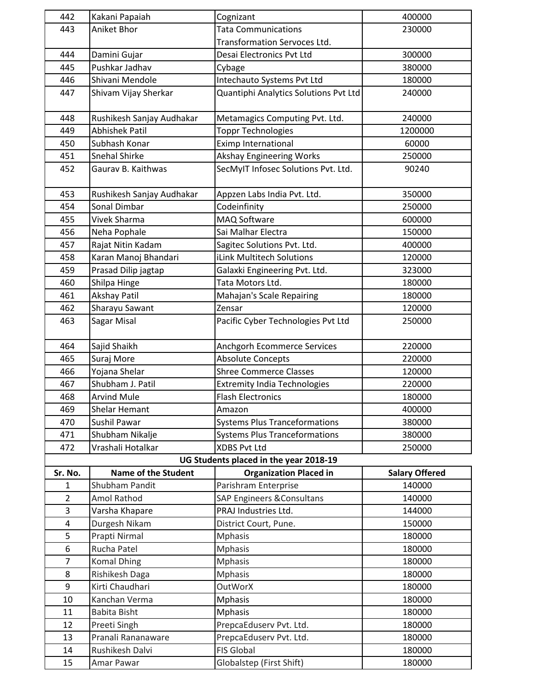| 442            | Kakani Papaiah             | Cognizant                              | 400000                |
|----------------|----------------------------|----------------------------------------|-----------------------|
| 443            | Aniket Bhor                | <b>Tata Communications</b>             | 230000                |
|                |                            | <b>Transformation Servoces Ltd.</b>    |                       |
| 444            | Damini Gujar               | Desai Electronics Pvt Ltd              | 300000                |
| 445            | Pushkar Jadhav             | Cybage                                 | 380000                |
| 446            | Shivani Mendole            | Intechauto Systems Pvt Ltd             | 180000                |
| 447            | Shivam Vijay Sherkar       | Quantiphi Analytics Solutions Pvt Ltd  | 240000                |
|                |                            |                                        |                       |
| 448            | Rushikesh Sanjay Audhakar  | Metamagics Computing Pvt. Ltd.         | 240000                |
| 449            | <b>Abhishek Patil</b>      | <b>Toppr Technologies</b>              | 1200000               |
| 450            | Subhash Konar              | Eximp International                    | 60000                 |
| 451            | Snehal Shirke              | <b>Akshay Engineering Works</b>        | 250000                |
| 452            | Gaurav B. Kaithwas         | SecMyIT Infosec Solutions Pvt. Ltd.    | 90240                 |
|                |                            |                                        |                       |
| 453            | Rushikesh Sanjay Audhakar  | Appzen Labs India Pvt. Ltd.            | 350000                |
| 454            | Sonal Dimbar               | Codeinfinity                           | 250000                |
| 455            | Vivek Sharma               | MAQ Software                           | 600000                |
| 456            | Neha Pophale               | Sai Malhar Electra                     | 150000                |
| 457            | Rajat Nitin Kadam          | Sagitec Solutions Pvt. Ltd.            | 400000                |
| 458            | Karan Manoj Bhandari       | iLink Multitech Solutions              | 120000                |
| 459            | Prasad Dilip jagtap        | Galaxki Engineering Pvt. Ltd.          | 323000                |
| 460            | Shilpa Hinge               | Tata Motors Ltd.                       | 180000                |
| 461            | <b>Akshay Patil</b>        | Mahajan's Scale Repairing              | 180000                |
| 462            | Sharayu Sawant             | Zensar                                 | 120000                |
| 463            | Sagar Misal                | Pacific Cyber Technologies Pvt Ltd     | 250000                |
|                |                            |                                        |                       |
| 464            | Sajid Shaikh               | Anchgorh Ecommerce Services            | 220000                |
| 465            | Suraj More                 | <b>Absolute Concepts</b>               | 220000                |
| 466            | Yojana Shelar              | <b>Shree Commerce Classes</b>          | 120000                |
| 467            | Shubham J. Patil           | <b>Extremity India Technologies</b>    | 220000                |
| 468            | <b>Arvind Mule</b>         | <b>Flash Electronics</b>               | 180000                |
| 469            | Shelar Hemant              | Amazon                                 | 400000                |
| 470            | Sushil Pawar               | <b>Systems Plus Tranceformations</b>   | 380000                |
| 471            | Shubham Nikalje            | <b>Systems Plus Tranceformations</b>   | 380000                |
| 472            | Vrashali Hotalkar          | <b>XDBS Pvt Ltd</b>                    | 250000                |
|                |                            | UG Students placed in the year 2018-19 |                       |
| Sr. No.        | <b>Name of the Student</b> | <b>Organization Placed in</b>          | <b>Salary Offered</b> |
| 1              | Shubham Pandit             | Parishram Enterprise                   | 140000                |
| $\overline{2}$ | Amol Rathod                | <b>SAP Engineers &amp; Consultans</b>  | 140000                |
| 3              | Varsha Khapare             | PRAJ Industries Ltd.                   | 144000                |
| 4              | Durgesh Nikam              | District Court, Pune.                  | 150000                |
| 5              | Prapti Nirmal              | Mphasis                                | 180000                |
| 6              | Rucha Patel                | <b>Mphasis</b>                         | 180000                |
| $\overline{7}$ | <b>Komal Dhing</b>         | <b>Mphasis</b>                         | 180000                |
| 8              | Rishikesh Daga             | <b>Mphasis</b>                         | 180000                |
| 9              | Kirti Chaudhari            | OutWorX                                | 180000                |
| 10             | Kanchan Verma              | <b>Mphasis</b>                         | 180000                |
| 11             | Babita Bisht               | <b>Mphasis</b>                         | 180000                |
| 12             | Preeti Singh               | PrepcaEduserv Pvt. Ltd.                | 180000                |
| 13             | Pranali Rananaware         | PrepcaEduserv Pvt. Ltd.                | 180000                |
| 14             | Rushikesh Dalvi            | <b>FIS Global</b>                      | 180000                |
| 15             | Amar Pawar                 | Globalstep (First Shift)               | 180000                |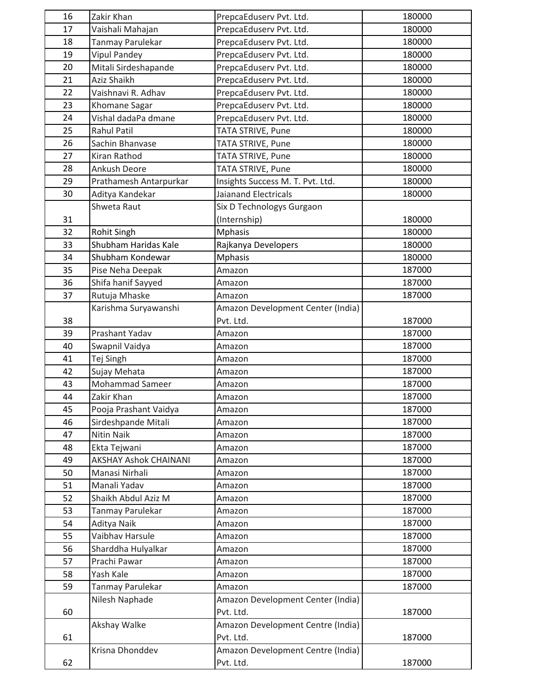| 16 | Zakir Khan                   | PrepcaEduserv Pvt. Ltd.           | 180000 |
|----|------------------------------|-----------------------------------|--------|
| 17 | Vaishali Mahajan             | PrepcaEduserv Pvt. Ltd.           | 180000 |
| 18 | Tanmay Parulekar             | PrepcaEduserv Pvt. Ltd.           | 180000 |
| 19 | <b>Vipul Pandey</b>          | PrepcaEduserv Pvt. Ltd.           | 180000 |
| 20 | Mitali Sirdeshapande         | PrepcaEduserv Pvt. Ltd.           | 180000 |
| 21 | Aziz Shaikh                  | PrepcaEduserv Pvt. Ltd.           | 180000 |
| 22 | Vaishnavi R. Adhav           | PrepcaEduserv Pvt. Ltd.           | 180000 |
| 23 | Khomane Sagar                | PrepcaEduserv Pvt. Ltd.           | 180000 |
| 24 | Vishal dadaPa dmane          | PrepcaEduserv Pvt. Ltd.           | 180000 |
| 25 | <b>Rahul Patil</b>           | TATA STRIVE, Pune                 | 180000 |
| 26 | Sachin Bhanvase              | TATA STRIVE, Pune                 | 180000 |
| 27 | Kiran Rathod                 | TATA STRIVE, Pune                 | 180000 |
| 28 | Ankush Deore                 | TATA STRIVE, Pune                 | 180000 |
| 29 | Prathamesh Antarpurkar       | Insights Success M. T. Pvt. Ltd.  | 180000 |
| 30 | Aditya Kandekar              | <b>Jaianand Electricals</b>       | 180000 |
|    | Shweta Raut                  | Six D Technologys Gurgaon         |        |
| 31 |                              | (Internship)                      | 180000 |
| 32 | Rohit Singh                  | <b>Mphasis</b>                    | 180000 |
| 33 | Shubham Haridas Kale         | Rajkanya Developers               | 180000 |
| 34 | Shubham Kondewar             | <b>Mphasis</b>                    | 180000 |
| 35 | Pise Neha Deepak             | Amazon                            | 187000 |
| 36 | Shifa hanif Sayyed           | Amazon                            | 187000 |
| 37 | Rutuja Mhaske                | Amazon                            | 187000 |
|    | Karishma Suryawanshi         | Amazon Development Center (India) |        |
| 38 |                              | Pvt. Ltd.                         | 187000 |
| 39 | Prashant Yadav               | Amazon                            | 187000 |
| 40 | Swapnil Vaidya               | Amazon                            | 187000 |
| 41 | Tej Singh                    | Amazon                            | 187000 |
| 42 | Sujay Mehata                 | Amazon                            | 187000 |
| 43 | Mohammad Sameer              | Amazon                            | 187000 |
| 44 | Zakir Khan                   | Amazon                            | 187000 |
| 45 | Pooja Prashant Vaidya        | Amazon                            | 187000 |
| 46 | Sirdeshpande Mitali          | Amazon                            | 187000 |
| 47 | Nitin Naik                   | Amazon                            | 187000 |
| 48 | Ekta Tejwani                 | Amazon                            | 187000 |
| 49 | <b>AKSHAY Ashok CHAINANI</b> | Amazon                            | 187000 |
| 50 | Manasi Nirhali               | Amazon                            | 187000 |
| 51 | Manali Yadav                 | Amazon                            | 187000 |
| 52 | Shaikh Abdul Aziz M          | Amazon                            | 187000 |
| 53 | Tanmay Parulekar             | Amazon                            | 187000 |
| 54 | Aditya Naik                  | Amazon                            | 187000 |
| 55 | Vaibhav Harsule              | Amazon                            | 187000 |
| 56 | Sharddha Hulyalkar           | Amazon                            | 187000 |
| 57 | Prachi Pawar                 | Amazon                            | 187000 |
| 58 | Yash Kale                    | Amazon                            | 187000 |
| 59 | Tanmay Parulekar             | Amazon                            | 187000 |
|    | Nilesh Naphade               | Amazon Development Center (India) |        |
| 60 |                              | Pvt. Ltd.                         | 187000 |
|    | Akshay Walke                 | Amazon Development Centre (India) |        |
| 61 |                              | Pvt. Ltd.                         | 187000 |
|    | Krisna Dhonddev              | Amazon Development Centre (India) |        |
| 62 |                              | Pvt. Ltd.                         | 187000 |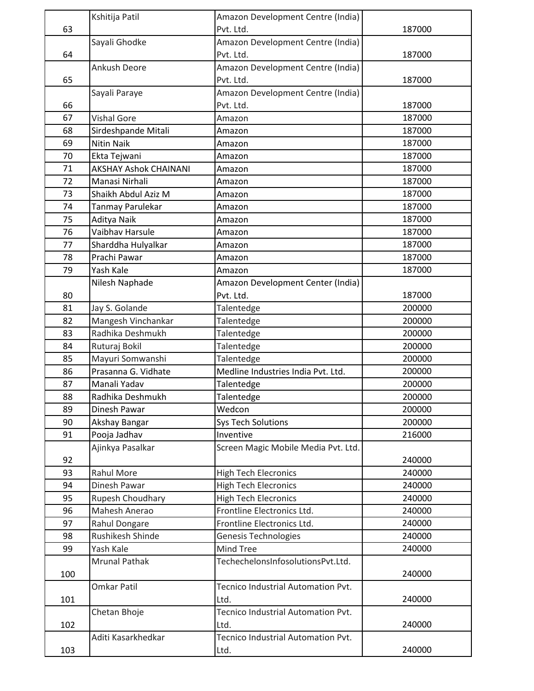|     | Kshitija Patil               | Amazon Development Centre (India)   |        |
|-----|------------------------------|-------------------------------------|--------|
| 63  |                              | Pvt. Ltd.                           | 187000 |
|     | Sayali Ghodke                | Amazon Development Centre (India)   |        |
| 64  |                              | Pvt. Ltd.                           | 187000 |
|     | Ankush Deore                 | Amazon Development Centre (India)   |        |
| 65  |                              | Pvt. Ltd.                           | 187000 |
|     | Sayali Paraye                | Amazon Development Centre (India)   |        |
| 66  |                              | Pvt. Ltd.                           | 187000 |
| 67  | <b>Vishal Gore</b>           | Amazon                              | 187000 |
| 68  | Sirdeshpande Mitali          | Amazon                              | 187000 |
| 69  | <b>Nitin Naik</b>            | Amazon                              | 187000 |
| 70  | Ekta Tejwani                 | Amazon                              | 187000 |
| 71  | <b>AKSHAY Ashok CHAINANI</b> | Amazon                              | 187000 |
| 72  | Manasi Nirhali               | Amazon                              | 187000 |
| 73  | Shaikh Abdul Aziz M          | Amazon                              | 187000 |
| 74  | Tanmay Parulekar             | Amazon                              | 187000 |
| 75  | Aditya Naik                  | Amazon                              | 187000 |
| 76  | Vaibhav Harsule              | Amazon                              | 187000 |
| 77  | Sharddha Hulyalkar           | Amazon                              | 187000 |
| 78  | Prachi Pawar                 | Amazon                              | 187000 |
| 79  | Yash Kale                    | Amazon                              | 187000 |
|     |                              |                                     |        |
|     | Nilesh Naphade               | Amazon Development Center (India)   |        |
| 80  |                              | Pvt. Ltd.                           | 187000 |
| 81  | Jay S. Golande               | Talentedge                          | 200000 |
| 82  | Mangesh Vinchankar           | Talentedge                          | 200000 |
| 83  | Radhika Deshmukh             | Talentedge                          | 200000 |
| 84  | Ruturaj Bokil                | Talentedge                          | 200000 |
| 85  | Mayuri Somwanshi             | Talentedge                          | 200000 |
| 86  | Prasanna G. Vidhate          | Medline Industries India Pvt. Ltd.  | 200000 |
| 87  | Manali Yadav                 | Talentedge                          | 200000 |
| 88  | Radhika Deshmukh             | Talentedge                          | 200000 |
| 89  | Dinesh Pawar                 | Wedcon                              | 200000 |
| 90  | Akshay Bangar                | <b>Sys Tech Solutions</b>           | 200000 |
| 91  | Pooja Jadhav                 | Inventive                           | 216000 |
|     | Ajinkya Pasalkar             | Screen Magic Mobile Media Pvt. Ltd. |        |
| 92  |                              |                                     | 240000 |
| 93  | Rahul More                   | <b>High Tech Elecronics</b>         | 240000 |
| 94  | Dinesh Pawar                 | <b>High Tech Elecronics</b>         | 240000 |
| 95  | Rupesh Choudhary             | <b>High Tech Elecronics</b>         | 240000 |
| 96  | Mahesh Anerao                | Frontline Electronics Ltd.          | 240000 |
| 97  | Rahul Dongare                | Frontline Electronics Ltd.          | 240000 |
| 98  | Rushikesh Shinde             | <b>Genesis Technologies</b>         | 240000 |
| 99  | Yash Kale                    | Mind Tree                           | 240000 |
| 100 | <b>Mrunal Pathak</b>         | TechechelonsInfosolutionsPvt.Ltd.   | 240000 |
|     | Omkar Patil                  | Tecnico Industrial Automation Pvt.  |        |
| 101 |                              | Ltd.                                | 240000 |
|     | Chetan Bhoje                 | Tecnico Industrial Automation Pvt.  |        |
| 102 |                              | Ltd.                                | 240000 |
|     | Aditi Kasarkhedkar           | Tecnico Industrial Automation Pvt.  |        |
| 103 |                              | Ltd.                                | 240000 |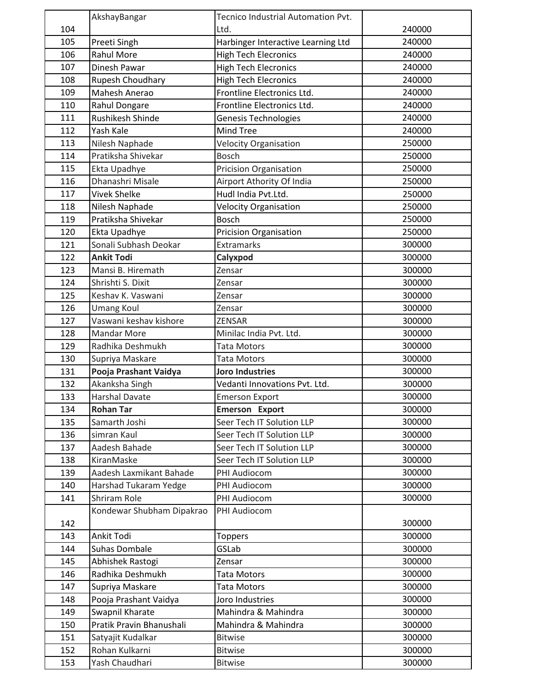|     | AkshayBangar              | Tecnico Industrial Automation Pvt. |        |
|-----|---------------------------|------------------------------------|--------|
| 104 |                           | Ltd.                               | 240000 |
| 105 | Preeti Singh              | Harbinger Interactive Learning Ltd | 240000 |
| 106 | <b>Rahul More</b>         | <b>High Tech Elecronics</b>        | 240000 |
| 107 | Dinesh Pawar              | <b>High Tech Elecronics</b>        | 240000 |
| 108 | Rupesh Choudhary          | <b>High Tech Elecronics</b>        | 240000 |
| 109 | Mahesh Anerao             | Frontline Electronics Ltd.         | 240000 |
| 110 | Rahul Dongare             | Frontline Electronics Ltd.         | 240000 |
| 111 | Rushikesh Shinde          | Genesis Technologies               | 240000 |
| 112 | Yash Kale                 | Mind Tree                          | 240000 |
| 113 | Nilesh Naphade            | <b>Velocity Organisation</b>       | 250000 |
| 114 | Pratiksha Shivekar        | <b>Bosch</b>                       | 250000 |
| 115 | Ekta Upadhye              | <b>Pricision Organisation</b>      | 250000 |
| 116 | Dhanashri Misale          | Airport Athority Of India          | 250000 |
| 117 | <b>Vivek Shelke</b>       | Hudl India Pvt.Ltd.                | 250000 |
| 118 | Nilesh Naphade            | <b>Velocity Organisation</b>       | 250000 |
| 119 | Pratiksha Shivekar        | <b>Bosch</b>                       | 250000 |
| 120 | Ekta Upadhye              | <b>Pricision Organisation</b>      | 250000 |
| 121 | Sonali Subhash Deokar     | Extramarks                         | 300000 |
| 122 | <b>Ankit Todi</b>         | Calyxpod                           | 300000 |
| 123 | Mansi B. Hiremath         | Zensar                             | 300000 |
| 124 | Shrishti S. Dixit         | Zensar                             | 300000 |
| 125 | Keshav K. Vaswani         | Zensar                             | 300000 |
| 126 | <b>Umang Koul</b>         | Zensar                             | 300000 |
| 127 | Vaswani keshav kishore    | <b>ZENSAR</b>                      | 300000 |
| 128 | <b>Mandar More</b>        | Minilac India Pvt. Ltd.            | 300000 |
| 129 | Radhika Deshmukh          | Tata Motors                        | 300000 |
| 130 | Supriya Maskare           | <b>Tata Motors</b>                 | 300000 |
| 131 | Pooja Prashant Vaidya     | <b>Joro Industries</b>             | 300000 |
| 132 | Akanksha Singh            | Vedanti Innovations Pvt. Ltd.      | 300000 |
| 133 | <b>Harshal Davate</b>     | <b>Emerson Export</b>              | 300000 |
| 134 | <b>Rohan Tar</b>          | <b>Emerson Export</b>              | 300000 |
| 135 | Samarth Joshi             | Seer Tech IT Solution LLP          | 300000 |
| 136 | simran Kaul               | Seer Tech IT Solution LLP          | 300000 |
| 137 | Aadesh Bahade             | Seer Tech IT Solution LLP          | 300000 |
| 138 | KiranMaske                | Seer Tech IT Solution LLP          | 300000 |
| 139 | Aadesh Laxmikant Bahade   | PHI Audiocom                       | 300000 |
| 140 | Harshad Tukaram Yedge     | PHI Audiocom                       | 300000 |
| 141 | Shriram Role              | PHI Audiocom                       | 300000 |
|     | Kondewar Shubham Dipakrao | PHI Audiocom                       |        |
| 142 |                           |                                    | 300000 |
| 143 | Ankit Todi                | <b>Toppers</b>                     | 300000 |
| 144 | Suhas Dombale             | GSLab                              | 300000 |
| 145 | Abhishek Rastogi          | Zensar                             | 300000 |
| 146 | Radhika Deshmukh          | <b>Tata Motors</b>                 | 300000 |
| 147 | Supriya Maskare           | Tata Motors                        | 300000 |
| 148 | Pooja Prashant Vaidya     | Joro Industries                    | 300000 |
| 149 | Swapnil Kharate           | Mahindra & Mahindra                | 300000 |
| 150 | Pratik Pravin Bhanushali  | Mahindra & Mahindra                | 300000 |
| 151 | Satyajit Kudalkar         | <b>Bitwise</b>                     | 300000 |
| 152 | Rohan Kulkarni            | <b>Bitwise</b>                     | 300000 |
| 153 | Yash Chaudhari            | <b>Bitwise</b>                     | 300000 |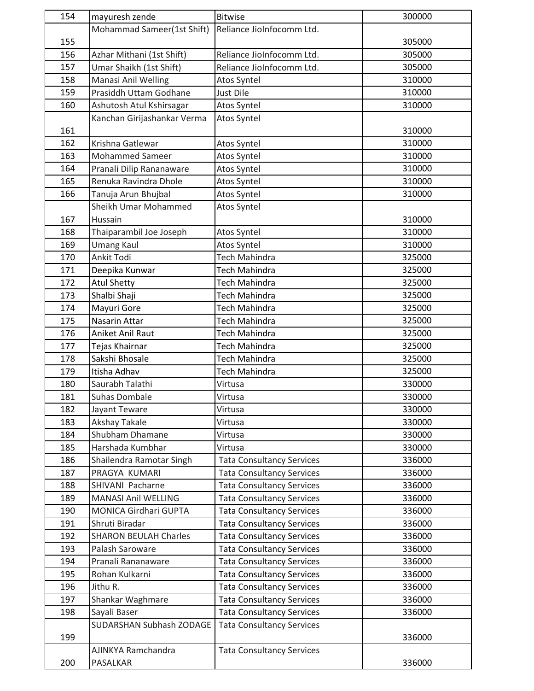| 154 | mayuresh zende               | <b>Bitwise</b>                   | 300000 |
|-----|------------------------------|----------------------------------|--------|
|     | Mohammad Sameer(1st Shift)   | Reliance JioInfocomm Ltd.        |        |
| 155 |                              |                                  | 305000 |
| 156 | Azhar Mithani (1st Shift)    | Reliance JioInfocomm Ltd.        | 305000 |
| 157 | Umar Shaikh (1st Shift)      | Reliance JioInfocomm Ltd.        | 305000 |
| 158 | Manasi Anil Welling          | Atos Syntel                      | 310000 |
| 159 | Prasiddh Uttam Godhane       | <b>Just Dile</b>                 | 310000 |
| 160 | Ashutosh Atul Kshirsagar     | Atos Syntel                      | 310000 |
|     | Kanchan Girijashankar Verma  | Atos Syntel                      |        |
| 161 |                              |                                  | 310000 |
| 162 | Krishna Gatlewar             | Atos Syntel                      | 310000 |
| 163 | <b>Mohammed Sameer</b>       | Atos Syntel                      | 310000 |
| 164 | Pranali Dilip Rananaware     | Atos Syntel                      | 310000 |
| 165 | Renuka Ravindra Dhole        | Atos Syntel                      | 310000 |
| 166 | Tanuja Arun Bhujbal          | Atos Syntel                      | 310000 |
|     | Sheikh Umar Mohammed         | Atos Syntel                      |        |
| 167 | Hussain                      |                                  | 310000 |
| 168 | Thaiparambil Joe Joseph      | Atos Syntel                      | 310000 |
| 169 | <b>Umang Kaul</b>            | Atos Syntel                      | 310000 |
| 170 | Ankit Todi                   | Tech Mahindra                    | 325000 |
| 171 | Deepika Kunwar               | <b>Tech Mahindra</b>             | 325000 |
| 172 | <b>Atul Shetty</b>           | <b>Tech Mahindra</b>             | 325000 |
| 173 | Shalbi Shaji                 | <b>Tech Mahindra</b>             | 325000 |
| 174 | Mayuri Gore                  | Tech Mahindra                    | 325000 |
| 175 | Nasarin Attar                | Tech Mahindra                    | 325000 |
| 176 | Aniket Anil Raut             | <b>Tech Mahindra</b>             | 325000 |
| 177 | Tejas Khairnar               | Tech Mahindra                    | 325000 |
| 178 | Sakshi Bhosale               | <b>Tech Mahindra</b>             | 325000 |
| 179 | Itisha Adhav                 | Tech Mahindra                    | 325000 |
| 180 | Saurabh Talathi              | Virtusa                          | 330000 |
| 181 | <b>Suhas Dombale</b>         | Virtusa                          | 330000 |
| 182 | Jayant Teware                | Virtusa                          | 330000 |
| 183 | Akshay Takale                | Virtusa                          | 330000 |
| 184 | Shubham Dhamane              | Virtusa                          | 330000 |
| 185 | Harshada Kumbhar             | Virtusa                          | 330000 |
| 186 | Shailendra Ramotar Singh     | <b>Tata Consultancy Services</b> | 336000 |
| 187 | PRAGYA KUMARI                | <b>Tata Consultancy Services</b> | 336000 |
| 188 | SHIVANI Pacharne             | <b>Tata Consultancy Services</b> | 336000 |
| 189 | <b>MANASI Anil WELLING</b>   | <b>Tata Consultancy Services</b> | 336000 |
| 190 | MONICA Girdhari GUPTA        | <b>Tata Consultancy Services</b> | 336000 |
| 191 | Shruti Biradar               | <b>Tata Consultancy Services</b> | 336000 |
| 192 | <b>SHARON BEULAH Charles</b> | <b>Tata Consultancy Services</b> | 336000 |
| 193 | Palash Saroware              | <b>Tata Consultancy Services</b> | 336000 |
| 194 | Pranali Rananaware           | <b>Tata Consultancy Services</b> | 336000 |
| 195 | Rohan Kulkarni               | <b>Tata Consultancy Services</b> | 336000 |
| 196 | Jithu R.                     | <b>Tata Consultancy Services</b> | 336000 |
| 197 | Shankar Waghmare             | <b>Tata Consultancy Services</b> | 336000 |
| 198 | Sayali Baser                 | <b>Tata Consultancy Services</b> | 336000 |
|     | SUDARSHAN Subhash ZODAGE     | <b>Tata Consultancy Services</b> |        |
| 199 |                              |                                  | 336000 |
|     | AJINKYA Ramchandra           | <b>Tata Consultancy Services</b> |        |
| 200 | PASALKAR                     |                                  | 336000 |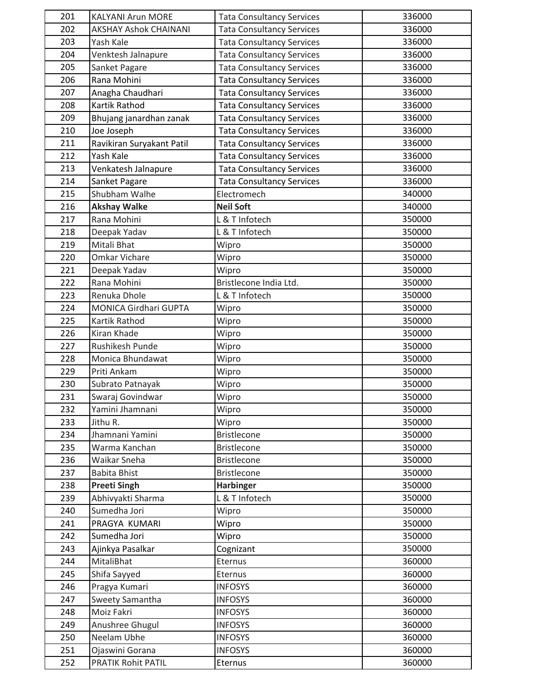| 201 | <b>KALYANI Arun MORE</b>     | <b>Tata Consultancy Services</b> | 336000 |
|-----|------------------------------|----------------------------------|--------|
| 202 | <b>AKSHAY Ashok CHAINANI</b> | <b>Tata Consultancy Services</b> | 336000 |
| 203 | Yash Kale                    | <b>Tata Consultancy Services</b> | 336000 |
| 204 | Venktesh Jalnapure           | <b>Tata Consultancy Services</b> | 336000 |
| 205 | Sanket Pagare                | <b>Tata Consultancy Services</b> | 336000 |
| 206 | Rana Mohini                  | <b>Tata Consultancy Services</b> | 336000 |
| 207 | Anagha Chaudhari             | <b>Tata Consultancy Services</b> | 336000 |
| 208 | Kartik Rathod                | <b>Tata Consultancy Services</b> | 336000 |
| 209 | Bhujang janardhan zanak      | <b>Tata Consultancy Services</b> | 336000 |
| 210 | Joe Joseph                   | <b>Tata Consultancy Services</b> | 336000 |
| 211 | Ravikiran Suryakant Patil    | <b>Tata Consultancy Services</b> | 336000 |
| 212 | Yash Kale                    | <b>Tata Consultancy Services</b> | 336000 |
| 213 | Venkatesh Jalnapure          | <b>Tata Consultancy Services</b> | 336000 |
| 214 | Sanket Pagare                | <b>Tata Consultancy Services</b> | 336000 |
| 215 | Shubham Walhe                | Electromech                      | 340000 |
| 216 | <b>Akshay Walke</b>          | <b>Neil Soft</b>                 | 340000 |
| 217 | Rana Mohini                  | L & T Infotech                   | 350000 |
| 218 | Deepak Yadav                 | L & T Infotech                   | 350000 |
| 219 | Mitali Bhat                  | Wipro                            | 350000 |
| 220 | Omkar Vichare                | Wipro                            | 350000 |
| 221 | Deepak Yadav                 | Wipro                            | 350000 |
| 222 | Rana Mohini                  | Bristlecone India Ltd.           | 350000 |
| 223 | Renuka Dhole                 | L & T Infotech                   | 350000 |
| 224 | MONICA Girdhari GUPTA        | Wipro                            | 350000 |
| 225 | Kartik Rathod                | Wipro                            | 350000 |
| 226 | Kiran Khade                  | Wipro                            | 350000 |
| 227 | Rushikesh Punde              | Wipro                            | 350000 |
| 228 | Monica Bhundawat             | Wipro                            | 350000 |
| 229 | Priti Ankam                  | Wipro                            | 350000 |
| 230 | Subrato Patnayak             | Wipro                            | 350000 |
| 231 | Swaraj Govindwar             | Wipro                            | 350000 |
| 232 | Yamini Jhamnani              | Wipro                            | 350000 |
| 233 | Jithu R.                     | Wipro                            | 350000 |
| 234 | Jhamnani Yamini              | <b>Bristlecone</b>               | 350000 |
| 235 | Warma Kanchan                | <b>Bristlecone</b>               | 350000 |
| 236 | Waikar Sneha                 | <b>Bristlecone</b>               | 350000 |
| 237 | Babita Bhist                 | <b>Bristlecone</b>               | 350000 |
| 238 | <b>Preeti Singh</b>          | <b>Harbinger</b>                 | 350000 |
| 239 | Abhivyakti Sharma            | L & T Infotech                   | 350000 |
| 240 | Sumedha Jori                 | Wipro                            | 350000 |
| 241 | PRAGYA KUMARI                | Wipro                            | 350000 |
| 242 | Sumedha Jori                 | Wipro                            | 350000 |
| 243 | Ajinkya Pasalkar             | Cognizant                        | 350000 |
| 244 | MitaliBhat                   | Eternus                          | 360000 |
| 245 | Shifa Sayyed                 | Eternus                          | 360000 |
| 246 | Pragya Kumari                | <b>INFOSYS</b>                   | 360000 |
| 247 | Sweety Samantha              | <b>INFOSYS</b>                   | 360000 |
| 248 | Moiz Fakri                   | <b>INFOSYS</b>                   | 360000 |
| 249 | Anushree Ghugul              | <b>INFOSYS</b>                   | 360000 |
| 250 | Neelam Ubhe                  | <b>INFOSYS</b>                   | 360000 |
| 251 | Ojaswini Gorana              | <b>INFOSYS</b>                   | 360000 |
| 252 | PRATIK Rohit PATIL           | Eternus                          | 360000 |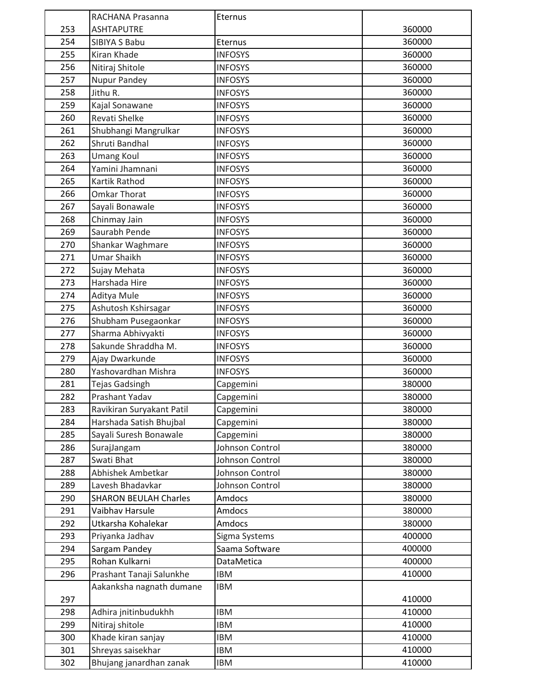|     | RACHANA Prasanna             | Eternus         |        |
|-----|------------------------------|-----------------|--------|
| 253 | <b>ASHTAPUTRE</b>            |                 | 360000 |
| 254 | SIBIYA S Babu                | Eternus         | 360000 |
| 255 | Kiran Khade                  | <b>INFOSYS</b>  | 360000 |
| 256 | Nitiraj Shitole              | <b>INFOSYS</b>  | 360000 |
| 257 | <b>Nupur Pandey</b>          | <b>INFOSYS</b>  | 360000 |
| 258 | Jithu R.                     | <b>INFOSYS</b>  | 360000 |
| 259 | Kajal Sonawane               | <b>INFOSYS</b>  | 360000 |
| 260 | Revati Shelke                | <b>INFOSYS</b>  | 360000 |
| 261 | Shubhangi Mangrulkar         | <b>INFOSYS</b>  | 360000 |
| 262 | Shruti Bandhal               | <b>INFOSYS</b>  | 360000 |
| 263 | <b>Umang Koul</b>            | <b>INFOSYS</b>  | 360000 |
| 264 | Yamini Jhamnani              | <b>INFOSYS</b>  | 360000 |
| 265 | Kartik Rathod                | <b>INFOSYS</b>  | 360000 |
| 266 | <b>Omkar Thorat</b>          | <b>INFOSYS</b>  | 360000 |
| 267 | Sayali Bonawale              | <b>INFOSYS</b>  | 360000 |
| 268 | Chinmay Jain                 | <b>INFOSYS</b>  | 360000 |
| 269 | Saurabh Pende                | <b>INFOSYS</b>  | 360000 |
| 270 | Shankar Waghmare             | <b>INFOSYS</b>  | 360000 |
| 271 | <b>Umar Shaikh</b>           | <b>INFOSYS</b>  | 360000 |
| 272 | Sujay Mehata                 | <b>INFOSYS</b>  | 360000 |
| 273 | Harshada Hire                | <b>INFOSYS</b>  | 360000 |
| 274 | Aditya Mule                  | <b>INFOSYS</b>  | 360000 |
| 275 | Ashutosh Kshirsagar          | <b>INFOSYS</b>  | 360000 |
| 276 | Shubham Pusegaonkar          | <b>INFOSYS</b>  | 360000 |
| 277 | Sharma Abhivyakti            | <b>INFOSYS</b>  | 360000 |
| 278 | Sakunde Shraddha M.          | <b>INFOSYS</b>  | 360000 |
| 279 | Ajay Dwarkunde               | <b>INFOSYS</b>  | 360000 |
| 280 | Yashovardhan Mishra          | <b>INFOSYS</b>  | 360000 |
| 281 | Tejas Gadsingh               | Capgemini       | 380000 |
| 282 | Prashant Yadav               | Capgemini       | 380000 |
| 283 | Ravikiran Suryakant Patil    | Capgemini       | 380000 |
| 284 | Harshada Satish Bhujbal      | Capgemini       | 380000 |
| 285 | Sayali Suresh Bonawale       | Capgemini       | 380000 |
| 286 | SurajJangam                  | Johnson Control | 380000 |
| 287 | Swati Bhat                   | Johnson Control | 380000 |
| 288 | Abhishek Ambetkar            | Johnson Control | 380000 |
| 289 | Lavesh Bhadavkar             | Johnson Control | 380000 |
| 290 | <b>SHARON BEULAH Charles</b> | Amdocs          | 380000 |
| 291 | Vaibhav Harsule              | Amdocs          | 380000 |
| 292 | Utkarsha Kohalekar           | Amdocs          | 380000 |
| 293 | Priyanka Jadhav              | Sigma Systems   | 400000 |
| 294 | Sargam Pandey                | Saama Software  | 400000 |
| 295 | Rohan Kulkarni               | DataMetica      | 400000 |
| 296 | Prashant Tanaji Salunkhe     | <b>IBM</b>      | 410000 |
|     | Aakanksha nagnath dumane     | <b>IBM</b>      |        |
| 297 |                              |                 | 410000 |
| 298 | Adhira jnitinbudukhh         | <b>IBM</b>      | 410000 |
| 299 | Nitiraj shitole              | <b>IBM</b>      | 410000 |
| 300 | Khade kiran sanjay           | <b>IBM</b>      | 410000 |
| 301 | Shreyas saisekhar            | <b>IBM</b>      | 410000 |
| 302 | Bhujang janardhan zanak      | <b>IBM</b>      | 410000 |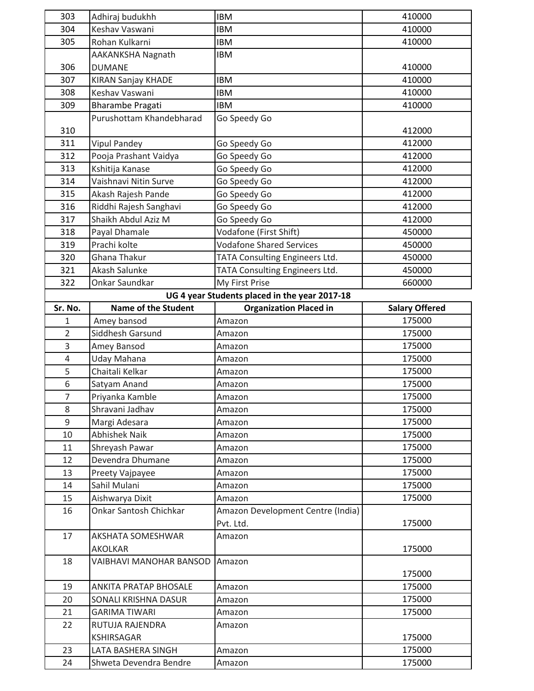| 303            | Adhiraj budukhh            | <b>IBM</b>                                    | 410000                |
|----------------|----------------------------|-----------------------------------------------|-----------------------|
| 304            | Keshav Vaswani             | <b>IBM</b>                                    | 410000                |
| 305            | Rohan Kulkarni             | <b>IBM</b>                                    | 410000                |
|                | AAKANKSHA Nagnath          | <b>IBM</b>                                    |                       |
| 306            | <b>DUMANE</b>              |                                               | 410000                |
| 307            | <b>KIRAN Sanjay KHADE</b>  | <b>IBM</b>                                    | 410000                |
| 308            | Keshav Vaswani             | <b>IBM</b>                                    | 410000                |
| 309            | <b>Bharambe Pragati</b>    | <b>IBM</b>                                    | 410000                |
|                | Purushottam Khandebharad   | Go Speedy Go                                  |                       |
| 310            |                            |                                               | 412000                |
| 311            | <b>Vipul Pandey</b>        | Go Speedy Go                                  | 412000                |
| 312            | Pooja Prashant Vaidya      | Go Speedy Go                                  | 412000                |
| 313            | Kshitija Kanase            | Go Speedy Go                                  | 412000                |
| 314            | Vaishnavi Nitin Surve      | Go Speedy Go                                  | 412000                |
| 315            | Akash Rajesh Pande         | Go Speedy Go                                  | 412000                |
| 316            | Riddhi Rajesh Sanghavi     | Go Speedy Go                                  | 412000                |
| 317            | Shaikh Abdul Aziz M        | Go Speedy Go                                  | 412000                |
| 318            | Payal Dhamale              | Vodafone (First Shift)                        | 450000                |
| 319            | Prachi kolte               | <b>Vodafone Shared Services</b>               | 450000                |
| 320            | Ghana Thakur               | TATA Consulting Engineers Ltd.                | 450000                |
| 321            | Akash Salunke              | TATA Consulting Engineers Ltd.                | 450000                |
| 322            | Onkar Saundkar             | My First Prise                                | 660000                |
|                |                            | UG 4 year Students placed in the year 2017-18 |                       |
| Sr. No.        | <b>Name of the Student</b> | <b>Organization Placed in</b>                 | <b>Salary Offered</b> |
| $\mathbf{1}$   | Amey bansod                | Amazon                                        | 175000                |
| $\overline{2}$ | Siddhesh Garsund           | Amazon                                        | 175000                |
| 3              | Amey Bansod                | Amazon                                        | 175000                |
| $\overline{4}$ | Uday Mahana                | Amazon                                        | 175000                |
| 5              | Chaitali Kelkar            | Amazon                                        | 175000                |
| 6              | Satyam Anand               | Amazon                                        | 175000                |
| $\overline{7}$ | Priyanka Kamble            | Amazon                                        | 175000                |
| 8              | Shravani Jadhav            | Amazon                                        | 175000                |
| 9              | Margi Adesara              | Amazon                                        | 175000                |
| 10             | <b>Abhishek Naik</b>       | Amazon                                        | 175000                |
| 11             | Shreyash Pawar             | Amazon                                        | 175000                |
| 12             | Devendra Dhumane           | Amazon                                        | 175000                |
| 13             | Preety Vajpayee            | Amazon                                        | 175000                |
| 14             | Sahil Mulani               | Amazon                                        | 175000                |
| 15             | Aishwarya Dixit            | Amazon                                        | 175000                |
| 16             | Onkar Santosh Chichkar     | Amazon Development Centre (India)             |                       |
|                |                            | Pvt. Ltd.                                     | 175000                |
| 17             | AKSHATA SOMESHWAR          | Amazon                                        |                       |
|                |                            |                                               |                       |
| 18             | <b>AKOLKAR</b>             |                                               | 175000                |
|                | VAIBHAVI MANOHAR BANSOD    | Amazon                                        |                       |
|                |                            |                                               | 175000                |
| 19             | ANKITA PRATAP BHOSALE      | Amazon                                        | 175000                |
| 20             | SONALI KRISHNA DASUR       | Amazon                                        | 175000                |
| 21             | <b>GARIMA TIWARI</b>       | Amazon                                        | 175000                |
| 22             | RUTUJA RAJENDRA            | Amazon                                        |                       |
|                | <b>KSHIRSAGAR</b>          |                                               | 175000                |
| 23             | LATA BASHERA SINGH         | Amazon                                        | 175000                |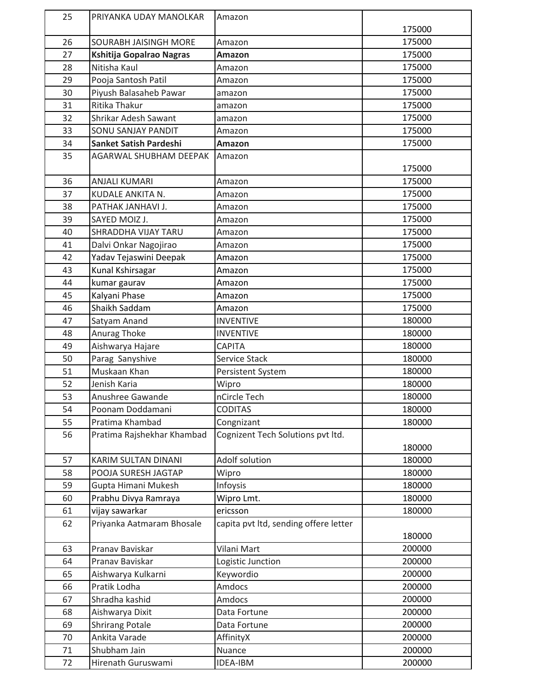| 25 | PRIYANKA UDAY MANOLKAR        | Amazon                                |        |
|----|-------------------------------|---------------------------------------|--------|
|    |                               |                                       | 175000 |
| 26 | SOURABH JAISINGH MORE         | Amazon                                | 175000 |
| 27 | Kshitija Gopalrao Nagras      | <b>Amazon</b>                         | 175000 |
| 28 | Nitisha Kaul                  | Amazon                                | 175000 |
| 29 | Pooja Santosh Patil           | Amazon                                | 175000 |
| 30 | Piyush Balasaheb Pawar        | amazon                                | 175000 |
| 31 | Ritika Thakur                 | amazon                                | 175000 |
| 32 | Shrikar Adesh Sawant          | amazon                                | 175000 |
| 33 | SONU SANJAY PANDIT            | Amazon                                | 175000 |
| 34 | <b>Sanket Satish Pardeshi</b> | Amazon                                | 175000 |
| 35 | AGARWAL SHUBHAM DEEPAK        | Amazon                                |        |
|    |                               |                                       | 175000 |
| 36 | <b>ANJALI KUMARI</b>          | Amazon                                | 175000 |
| 37 | KUDALE ANKITA N.              | Amazon                                | 175000 |
| 38 | PATHAK JANHAVI J.             | Amazon                                | 175000 |
| 39 | SAYED MOIZ J.                 | Amazon                                | 175000 |
| 40 | SHRADDHA VIJAY TARU           | Amazon                                | 175000 |
| 41 | Dalvi Onkar Nagojirao         | Amazon                                | 175000 |
| 42 | Yadav Tejaswini Deepak        | Amazon                                | 175000 |
| 43 | Kunal Kshirsagar              | Amazon                                | 175000 |
| 44 | kumar gaurav                  | Amazon                                | 175000 |
| 45 | Kalyani Phase                 | Amazon                                | 175000 |
| 46 | Shaikh Saddam                 | Amazon                                | 175000 |
| 47 | Satyam Anand                  | <b>INVENTIVE</b>                      | 180000 |
| 48 | Anurag Thoke                  | <b>INVENTIVE</b>                      | 180000 |
| 49 | Aishwarya Hajare              | <b>CAPITA</b>                         | 180000 |
| 50 | Parag Sanyshive               | <b>Service Stack</b>                  | 180000 |
| 51 | Muskaan Khan                  | Persistent System                     | 180000 |
| 52 | Jenish Karia                  | Wipro                                 | 180000 |
| 53 | Anushree Gawande              | nCircle Tech                          | 180000 |
| 54 | Poonam Doddamani              | <b>CODITAS</b>                        | 180000 |
| 55 | Pratima Khambad               | Congnizant                            | 180000 |
| 56 | Pratima Rajshekhar Khambad    | Cognizent Tech Solutions pvt ltd.     | 180000 |
| 57 | KARIM SULTAN DINANI           | Adolf solution                        | 180000 |
| 58 | POOJA SURESH JAGTAP           | Wipro                                 | 180000 |
| 59 | Gupta Himani Mukesh           | Infoysis                              | 180000 |
| 60 | Prabhu Divya Ramraya          | Wipro Lmt.                            | 180000 |
| 61 | vijay sawarkar                | ericsson                              | 180000 |
| 62 | Priyanka Aatmaram Bhosale     | capita pvt ltd, sending offere letter | 180000 |
| 63 | Pranav Baviskar               | Vilani Mart                           | 200000 |
| 64 | Pranav Baviskar               | Logistic Junction                     | 200000 |
| 65 | Aishwarya Kulkarni            | Keywordio                             | 200000 |
| 66 | Pratik Lodha                  | Amdocs                                | 200000 |
| 67 | Shradha kashid                | Amdocs                                | 200000 |
| 68 | Aishwarya Dixit               | Data Fortune                          | 200000 |
| 69 | <b>Shrirang Potale</b>        | Data Fortune                          | 200000 |
| 70 | Ankita Varade                 | AffinityX                             | 200000 |
| 71 | Shubham Jain                  | Nuance                                | 200000 |
| 72 | Hirenath Guruswami            | IDEA-IBM                              | 200000 |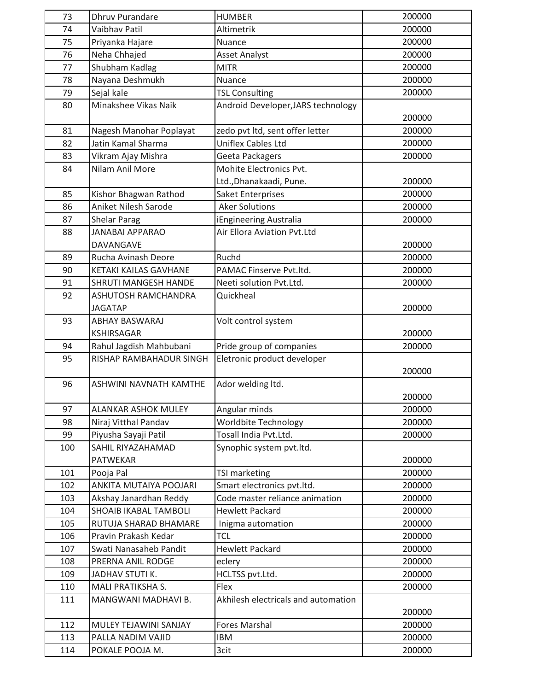| 73  | <b>Dhruv Purandare</b>  | <b>HUMBER</b>                       | 200000 |
|-----|-------------------------|-------------------------------------|--------|
| 74  | Vaibhav Patil           | Altimetrik                          | 200000 |
| 75  | Priyanka Hajare         | Nuance                              | 200000 |
| 76  | Neha Chhajed            | <b>Asset Analyst</b>                | 200000 |
| 77  | Shubham Kadlag          | <b>MITR</b>                         | 200000 |
| 78  | Nayana Deshmukh         | Nuance                              | 200000 |
| 79  | Sejal kale              | <b>TSL Consulting</b>               | 200000 |
| 80  | Minakshee Vikas Naik    | Android Developer, JARS technology  | 200000 |
| 81  | Nagesh Manohar Poplayat | zedo pvt ltd, sent offer letter     | 200000 |
| 82  | Jatin Kamal Sharma      | <b>Uniflex Cables Ltd</b>           | 200000 |
| 83  | Vikram Ajay Mishra      | Geeta Packagers                     | 200000 |
| 84  | Nilam Anil More         | Mohite Electronics Pvt.             |        |
|     |                         | Ltd., Dhanakaadi, Pune.             | 200000 |
| 85  | Kishor Bhagwan Rathod   | Saket Enterprises                   | 200000 |
| 86  | Aniket Nilesh Sarode    | <b>Aker Solutions</b>               | 200000 |
| 87  | <b>Shelar Parag</b>     | iEngineering Australia              | 200000 |
| 88  | <b>JANABAI APPARAO</b>  | Air Ellora Aviation Pvt.Ltd         |        |
|     | DAVANGAVE               |                                     | 200000 |
| 89  | Rucha Avinash Deore     | Ruchd                               | 200000 |
| 90  | KETAKI KAILAS GAVHANE   | PAMAC Finserve Pvt.ltd.             | 200000 |
| 91  | SHRUTI MANGESH HANDE    | Neeti solution Pvt.Ltd.             | 200000 |
| 92  | ASHUTOSH RAMCHANDRA     | Quickheal                           |        |
|     | <b>JAGATAP</b>          |                                     | 200000 |
| 93  | ABHAY BASWARAJ          | Volt control system                 |        |
|     | <b>KSHIRSAGAR</b>       |                                     | 200000 |
| 94  | Rahul Jagdish Mahbubani | Pride group of companies            | 200000 |
| 95  | RISHAP RAMBAHADUR SINGH | Eletronic product developer         |        |
|     |                         |                                     | 200000 |
| 96  | ASHWINI NAVNATH KAMTHE  | Ador welding ltd.                   |        |
|     |                         |                                     | 200000 |
| 97  | ALANKAR ASHOK MULEY     | Angular minds                       | 200000 |
| 98  | Niraj Vitthal Pandav    | <b>Worldbite Technology</b>         | 200000 |
| 99  | Piyusha Sayaji Patil    | Tosall India Pvt.Ltd.               | 200000 |
| 100 | SAHIL RIYAZAHAMAD       | Synophic system pvt.ltd.            |        |
|     | PATWEKAR                |                                     | 200000 |
| 101 | Pooja Pal               | TSI marketing                       | 200000 |
| 102 | ANKITA MUTAIYA POOJARI  | Smart electronics pvt.ltd.          | 200000 |
| 103 | Akshay Janardhan Reddy  | Code master reliance animation      | 200000 |
| 104 | SHOAIB IKABAL TAMBOLI   | <b>Hewlett Packard</b>              | 200000 |
| 105 | RUTUJA SHARAD BHAMARE   | Inigma automation                   | 200000 |
| 106 | Pravin Prakash Kedar    | <b>TCL</b>                          | 200000 |
| 107 | Swati Nanasaheb Pandit  | <b>Hewlett Packard</b>              | 200000 |
| 108 | PRERNA ANIL RODGE       | eclery                              | 200000 |
| 109 | JADHAV STUTI K.         | HCLTSS pvt.Ltd.                     | 200000 |
| 110 | MALI PRATIKSHA S.       | Flex                                | 200000 |
| 111 | MANGWANI MADHAVI B.     | Akhilesh electricals and automation |        |
|     |                         |                                     | 200000 |
| 112 | MULEY TEJAWINI SANJAY   | <b>Fores Marshal</b>                | 200000 |
| 113 | PALLA NADIM VAJID       | <b>IBM</b>                          | 200000 |
| 114 | POKALE POOJA M.         | 3cit                                | 200000 |
|     |                         |                                     |        |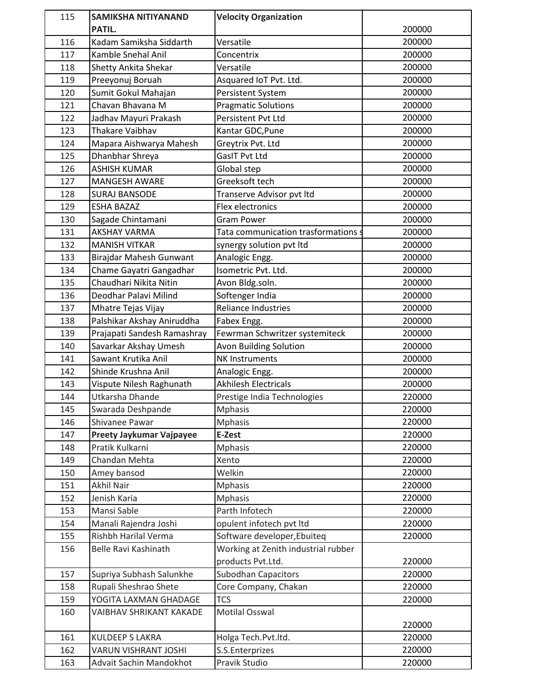| 115 | <b>SAMIKSHA NITIYANAND</b>  | <b>Velocity Organization</b>        |        |
|-----|-----------------------------|-------------------------------------|--------|
|     | PATIL.                      |                                     | 200000 |
| 116 | Kadam Samiksha Siddarth     | Versatile                           | 200000 |
| 117 | Kamble Snehal Anil          | Concentrix                          | 200000 |
| 118 | <b>Shetty Ankita Shekar</b> | Versatile                           | 200000 |
| 119 | Preeyonuj Boruah            | Asquared IoT Pvt. Ltd.              | 200000 |
| 120 | Sumit Gokul Mahajan         | Persistent System                   | 200000 |
| 121 | Chavan Bhavana M            | <b>Pragmatic Solutions</b>          | 200000 |
| 122 | Jadhav Mayuri Prakash       | Persistent Pvt Ltd                  | 200000 |
| 123 | <b>Thakare Vaibhav</b>      | Kantar GDC, Pune                    | 200000 |
| 124 | Mapara Aishwarya Mahesh     | Greytrix Pvt. Ltd                   | 200000 |
| 125 | Dhanbhar Shreya             | GasIT Pvt Ltd                       | 200000 |
| 126 | <b>ASHISH KUMAR</b>         | Global step                         | 200000 |
| 127 | <b>MANGESH AWARE</b>        | Greeksoft tech                      | 200000 |
| 128 | <b>SURAJ BANSODE</b>        | Transerve Advisor pvt ltd           | 200000 |
| 129 | <b>ESHA BAZAZ</b>           | Flex electronics                    | 200000 |
| 130 | Sagade Chintamani           | <b>Gram Power</b>                   | 200000 |
| 131 | <b>AKSHAY VARMA</b>         | Tata communication trasformations s | 200000 |
| 132 | <b>MANISH VITKAR</b>        | synergy solution pvt ltd            | 200000 |
| 133 | Birajdar Mahesh Gunwant     | Analogic Engg.                      | 200000 |
| 134 | Chame Gayatri Gangadhar     | Isometric Pvt. Ltd.                 | 200000 |
| 135 | Chaudhari Nikita Nitin      | Avon Bldg.soln.                     | 200000 |
| 136 | Deodhar Palavi Milind       | Softenger India                     | 200000 |
| 137 | Mhatre Tejas Vijay          | <b>Reliance Industries</b>          | 200000 |
| 138 | Palshikar Akshay Aniruddha  | Fabex Engg.                         | 200000 |
| 139 | Prajapati Sandesh Ramashray | Fewrman Schwritzer systemiteck      | 200000 |
| 140 | Savarkar Akshay Umesh       | <b>Avon Building Solution</b>       | 200000 |
| 141 | Sawant Krutika Anil         | <b>NK Instruments</b>               | 200000 |
| 142 | Shinde Krushna Anil         | Analogic Engg.                      | 200000 |
| 143 | Vispute Nilesh Raghunath    | <b>Akhilesh Electricals</b>         | 200000 |
| 144 | Utkarsha Dhande             | Prestige India Technologies         | 220000 |
| 145 | Swarada Deshpande           | <b>Mphasis</b>                      | 220000 |
| 146 | Shivanee Pawar              | <b>Mphasis</b>                      | 220000 |
| 147 | Preety Jaykumar Vajpayee    | E-Zest                              | 220000 |
| 148 | Pratik Kulkarni             | <b>Mphasis</b>                      | 220000 |
| 149 | Chandan Mehta               | Xento                               | 220000 |
| 150 | Amey bansod                 | Welkin                              | 220000 |
| 151 | <b>Akhil Nair</b>           | <b>Mphasis</b>                      | 220000 |
| 152 | Jenish Karia                | <b>Mphasis</b>                      | 220000 |
| 153 | Mansi Sable                 | Parth Infotech                      | 220000 |
| 154 | Manali Rajendra Joshi       | opulent infotech pvt ltd            | 220000 |
| 155 | Rishbh Harilal Verma        | Software developer, Ebuiteq         | 220000 |
| 156 | Belle Ravi Kashinath        | Working at Zenith industrial rubber |        |
|     |                             | products Pvt.Ltd.                   | 220000 |
| 157 | Supriya Subhash Salunkhe    | Subodhan Capacitors                 | 220000 |
| 158 | Rupali Sheshrao Shete       | Core Company, Chakan                | 220000 |
| 159 | YOGITA LAXMAN GHADAGE       | <b>TCS</b>                          | 220000 |
| 160 | VAIBHAV SHRIKANT KAKADE     | <b>Motilal Osswal</b>               |        |
|     |                             |                                     | 220000 |
| 161 | <b>KULDEEP S LAKRA</b>      | Holga Tech.Pvt.ltd.                 | 220000 |
| 162 | VARUN VISHRANT JOSHI        | S.S.Enterprizes                     | 220000 |
| 163 | Advait Sachin Mandokhot     | Pravik Studio                       | 220000 |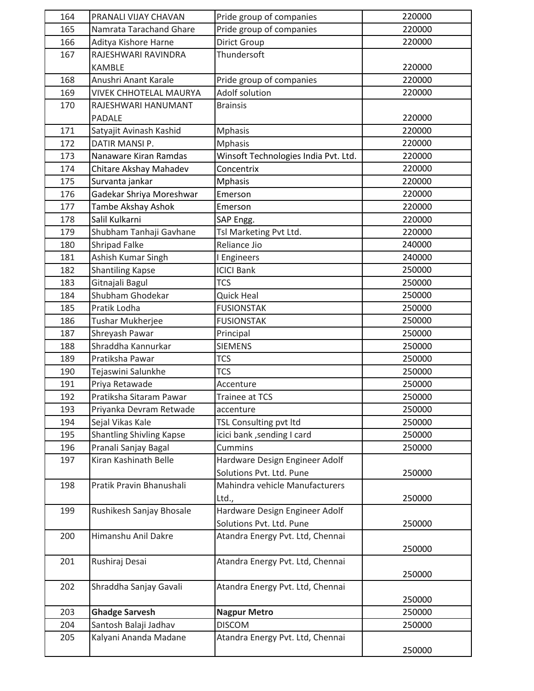| 164 | PRANALI VIJAY CHAVAN            | Pride group of companies             | 220000 |
|-----|---------------------------------|--------------------------------------|--------|
| 165 | Namrata Tarachand Ghare         | Pride group of companies             | 220000 |
| 166 | Aditya Kishore Harne            | <b>Dirict Group</b>                  | 220000 |
| 167 | RAJESHWARI RAVINDRA             | Thundersoft                          |        |
|     | <b>KAMBLE</b>                   |                                      | 220000 |
| 168 | Anushri Anant Karale            | Pride group of companies             | 220000 |
| 169 | <b>VIVEK CHHOTELAL MAURYA</b>   | Adolf solution                       | 220000 |
| 170 | RAJESHWARI HANUMANT             | <b>Brainsis</b>                      |        |
|     | PADALE                          |                                      | 220000 |
| 171 | Satyajit Avinash Kashid         | <b>Mphasis</b>                       | 220000 |
| 172 | DATIR MANSI P.                  | <b>Mphasis</b>                       | 220000 |
| 173 | Nanaware Kiran Ramdas           | Winsoft Technologies India Pvt. Ltd. | 220000 |
| 174 | Chitare Akshay Mahadev          | Concentrix                           | 220000 |
| 175 | Survanta jankar                 | <b>Mphasis</b>                       | 220000 |
| 176 | Gadekar Shriya Moreshwar        | Emerson                              | 220000 |
| 177 | Tambe Akshay Ashok              | Emerson                              | 220000 |
| 178 | Salil Kulkarni                  | SAP Engg.                            | 220000 |
| 179 | Shubham Tanhaji Gavhane         | Tsl Marketing Pvt Ltd.               | 220000 |
| 180 | Shripad Falke                   | Reliance Jio                         | 240000 |
| 181 | Ashish Kumar Singh              | I Engineers                          | 240000 |
| 182 | <b>Shantiling Kapse</b>         | <b>ICICI Bank</b>                    | 250000 |
| 183 | Gitnajali Bagul                 | <b>TCS</b>                           | 250000 |
| 184 | Shubham Ghodekar                | Quick Heal                           | 250000 |
| 185 | Pratik Lodha                    | <b>FUSIONSTAK</b>                    | 250000 |
| 186 | Tushar Mukherjee                | <b>FUSIONSTAK</b>                    | 250000 |
| 187 | Shreyash Pawar                  | Principal                            | 250000 |
| 188 | Shraddha Kannurkar              | <b>SIEMENS</b>                       | 250000 |
| 189 | Pratiksha Pawar                 | <b>TCS</b>                           | 250000 |
| 190 | Tejaswini Salunkhe              | <b>TCS</b>                           | 250000 |
| 191 | Priya Retawade                  | Accenture                            | 250000 |
| 192 | Pratiksha Sitaram Pawar         | Trainee at TCS                       | 250000 |
| 193 | Priyanka Devram Retwade         | accenture                            | 250000 |
| 194 | Sejal Vikas Kale                | TSL Consulting pvt ltd               | 250000 |
| 195 | <b>Shantling Shivling Kapse</b> | icici bank, sending I card           | 250000 |
| 196 | Pranali Sanjay Bagal            | Cummins                              | 250000 |
| 197 | Kiran Kashinath Belle           | Hardware Design Engineer Adolf       |        |
|     |                                 | Solutions Pvt. Ltd. Pune             | 250000 |
| 198 | Pratik Pravin Bhanushali        | Mahindra vehicle Manufacturers       |        |
|     |                                 | Ltd.,                                | 250000 |
| 199 | Rushikesh Sanjay Bhosale        | Hardware Design Engineer Adolf       |        |
|     |                                 | Solutions Pvt. Ltd. Pune             | 250000 |
| 200 | Himanshu Anil Dakre             | Atandra Energy Pvt. Ltd, Chennai     |        |
|     |                                 |                                      | 250000 |
| 201 | Rushiraj Desai                  | Atandra Energy Pvt. Ltd, Chennai     |        |
|     |                                 |                                      | 250000 |
| 202 | Shraddha Sanjay Gavali          | Atandra Energy Pvt. Ltd, Chennai     |        |
|     |                                 |                                      | 250000 |
| 203 | <b>Ghadge Sarvesh</b>           | <b>Nagpur Metro</b>                  | 250000 |
| 204 | Santosh Balaji Jadhav           | <b>DISCOM</b>                        | 250000 |
| 205 | Kalyani Ananda Madane           | Atandra Energy Pvt. Ltd, Chennai     |        |
|     |                                 |                                      | 250000 |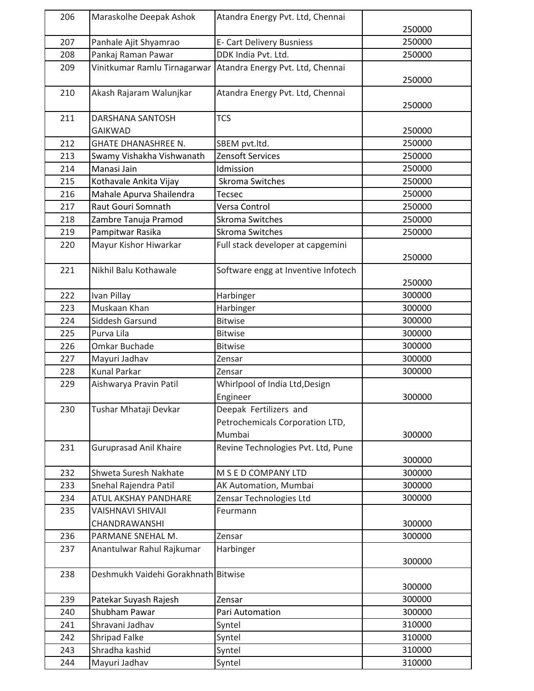| 206 | Maraskolhe Deepak Ashok             | Atandra Energy Pvt. Ltd, Chennai    |        |
|-----|-------------------------------------|-------------------------------------|--------|
|     |                                     |                                     | 250000 |
| 207 | Panhale Ajit Shyamrao               | E- Cart Delivery Busniess           | 250000 |
| 208 | Pankaj Raman Pawar                  | DDK India Pvt. Ltd.                 | 250000 |
| 209 | Vinitkumar Ramlu Tirnagarwar        | Atandra Energy Pvt. Ltd, Chennai    |        |
|     |                                     |                                     | 250000 |
| 210 | Akash Rajaram Walunjkar             | Atandra Energy Pvt. Ltd, Chennai    |        |
|     |                                     |                                     | 250000 |
| 211 | DARSHANA SANTOSH                    | <b>TCS</b>                          |        |
|     | <b>GAIKWAD</b>                      |                                     | 250000 |
| 212 | <b>GHATE DHANASHREE N.</b>          | SBEM pvt.ltd.                       | 250000 |
| 213 | Swamy Vishakha Vishwanath           | Zensoft Services                    | 250000 |
| 214 | Manasi Jain                         | Idmission                           | 250000 |
| 215 | Kothavale Ankita Vijay              | Skroma Switches                     | 250000 |
| 216 | Mahale Apurva Shailendra            | <b>Tecsec</b>                       | 250000 |
| 217 | Raut Gouri Somnath                  | Versa Control                       | 250000 |
| 218 | Zambre Tanuja Pramod                | Skroma Switches                     | 250000 |
| 219 | Pampitwar Rasika                    | <b>Skroma Switches</b>              | 250000 |
| 220 | Mayur Kishor Hiwarkar               | Full stack developer at capgemini   |        |
|     |                                     |                                     | 250000 |
| 221 | Nikhil Balu Kothawale               | Software engg at Inventive Infotech |        |
|     |                                     |                                     | 250000 |
| 222 | Ivan Pillay                         | Harbinger                           | 300000 |
| 223 | Muskaan Khan                        | Harbinger                           | 300000 |
| 224 | Siddesh Garsund                     | <b>Bitwise</b>                      | 300000 |
| 225 | Purva Lila                          | <b>Bitwise</b>                      | 300000 |
| 226 | Omkar Buchade                       | <b>Bitwise</b>                      | 300000 |
| 227 | Mayuri Jadhav                       | Zensar                              | 300000 |
| 228 | <b>Kunal Parkar</b>                 | Zensar                              | 300000 |
| 229 | Aishwarya Pravin Patil              | Whirlpool of India Ltd, Design      |        |
|     |                                     | Engineer                            | 300000 |
| 230 | Tushar Mhataji Devkar               | Deepak Fertilizers and              |        |
|     |                                     | Petrochemicals Corporation LTD,     |        |
|     |                                     | Mumbai                              | 300000 |
| 231 | <b>Guruprasad Anil Khaire</b>       | Revine Technologies Pvt. Ltd, Pune  |        |
|     |                                     |                                     | 300000 |
| 232 | Shweta Suresh Nakhate               | M S E D COMPANY LTD                 | 300000 |
| 233 | Snehal Rajendra Patil               | AK Automation, Mumbai               | 300000 |
| 234 | ATUL AKSHAY PANDHARE                | Zensar Technologies Ltd             | 300000 |
| 235 | <b>VAISHNAVI SHIVAJI</b>            | Feurmann                            |        |
|     | CHANDRAWANSHI                       |                                     | 300000 |
| 236 | PARMANE SNEHAL M.                   | Zensar                              | 300000 |
| 237 | Anantulwar Rahul Rajkumar           | Harbinger                           |        |
|     |                                     |                                     | 300000 |
| 238 | Deshmukh Vaidehi Gorakhnath Bitwise |                                     |        |
|     |                                     |                                     | 300000 |
| 239 | Patekar Suyash Rajesh               | Zensar                              | 300000 |
| 240 | Shubham Pawar                       | Pari Automation                     | 300000 |
| 241 | Shravani Jadhav                     | Syntel                              | 310000 |
| 242 | Shripad Falke                       | Syntel                              | 310000 |
| 243 | Shradha kashid                      | Syntel                              | 310000 |
| 244 | Mayuri Jadhav                       | Syntel                              | 310000 |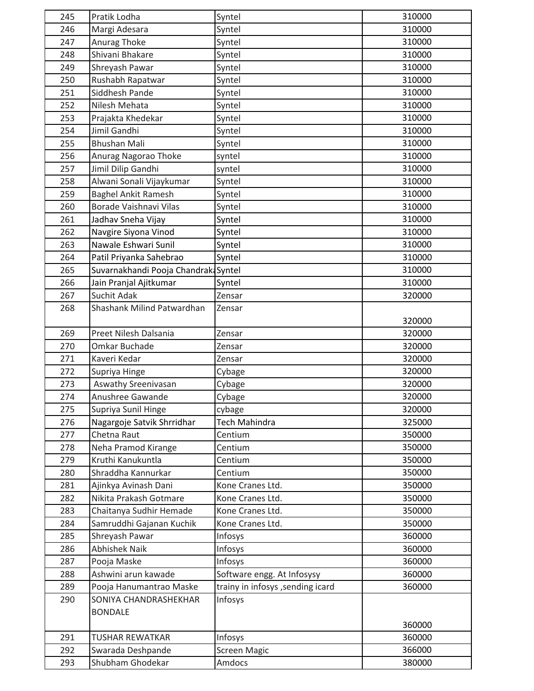| 245 | Pratik Lodha                        | Syntel                           | 310000 |
|-----|-------------------------------------|----------------------------------|--------|
| 246 | Margi Adesara                       | Syntel                           | 310000 |
| 247 | Anurag Thoke                        | Syntel                           | 310000 |
| 248 | Shivani Bhakare                     | Syntel                           | 310000 |
| 249 | Shreyash Pawar                      | Syntel                           | 310000 |
| 250 | Rushabh Rapatwar                    | Syntel                           | 310000 |
| 251 | Siddhesh Pande                      | Syntel                           | 310000 |
| 252 | Nilesh Mehata                       | Syntel                           | 310000 |
| 253 | Prajakta Khedekar                   | Syntel                           | 310000 |
| 254 | Jimil Gandhi                        | Syntel                           | 310000 |
| 255 | <b>Bhushan Mali</b>                 | Syntel                           | 310000 |
| 256 | Anurag Nagorao Thoke                | syntel                           | 310000 |
| 257 | Jimil Dilip Gandhi                  | syntel                           | 310000 |
| 258 | Alwani Sonali Vijaykumar            | Syntel                           | 310000 |
| 259 | <b>Baghel Ankit Ramesh</b>          | Syntel                           | 310000 |
| 260 | Borade Vaishnavi Vilas              | Syntel                           | 310000 |
| 261 | Jadhav Sneha Vijay                  | Syntel                           | 310000 |
| 262 | Navgire Siyona Vinod                | Syntel                           | 310000 |
| 263 | Nawale Eshwari Sunil                | Syntel                           | 310000 |
| 264 | Patil Priyanka Sahebrao             | Syntel                           | 310000 |
| 265 | Suvarnakhandi Pooja Chandrak Syntel |                                  | 310000 |
| 266 | Jain Pranjal Ajitkumar              | Syntel                           | 310000 |
| 267 | Suchit Adak                         | Zensar                           | 320000 |
| 268 | Shashank Milind Patwardhan          | Zensar                           |        |
|     |                                     |                                  | 320000 |
| 269 | Preet Nilesh Dalsania               | Zensar                           | 320000 |
| 270 | Omkar Buchade                       | Zensar                           | 320000 |
| 271 | Kaveri Kedar                        | Zensar                           | 320000 |
| 272 | Supriya Hinge                       | Cybage                           | 320000 |
| 273 | Aswathy Sreenivasan                 | Cybage                           | 320000 |
| 274 | Anushree Gawande                    | Cybage                           | 320000 |
| 275 | Supriya Sunil Hinge                 | cybage                           | 320000 |
| 276 | Nagargoje Satvik Shrridhar          | <b>Tech Mahindra</b>             | 325000 |
| 277 | Chetna Raut                         | Centium                          | 350000 |
| 278 | Neha Pramod Kirange                 | Centium                          | 350000 |
| 279 | Kruthi Kanukuntla                   | Centium                          | 350000 |
| 280 | Shraddha Kannurkar                  | Centium                          | 350000 |
| 281 | Ajinkya Avinash Dani                | Kone Cranes Ltd.                 | 350000 |
| 282 | Nikita Prakash Gotmare              | Kone Cranes Ltd.                 | 350000 |
| 283 | Chaitanya Sudhir Hemade             | Kone Cranes Ltd.                 | 350000 |
| 284 | Samruddhi Gajanan Kuchik            | Kone Cranes Ltd.                 | 350000 |
| 285 | Shreyash Pawar                      | Infosys                          | 360000 |
| 286 | <b>Abhishek Naik</b>                | Infosys                          | 360000 |
| 287 | Pooja Maske                         | Infosys                          | 360000 |
| 288 | Ashwini arun kawade                 | Software engg. At Infosysy       | 360000 |
| 289 | Pooja Hanumantrao Maske             | trainy in infosys, sending icard | 360000 |
| 290 | SONIYA CHANDRASHEKHAR               | Infosys                          |        |
|     | <b>BONDALE</b>                      |                                  |        |
|     |                                     |                                  | 360000 |
| 291 | <b>TUSHAR REWATKAR</b>              | Infosys                          | 360000 |
| 292 | Swarada Deshpande                   | <b>Screen Magic</b>              | 366000 |
| 293 | Shubham Ghodekar                    | Amdocs                           | 380000 |